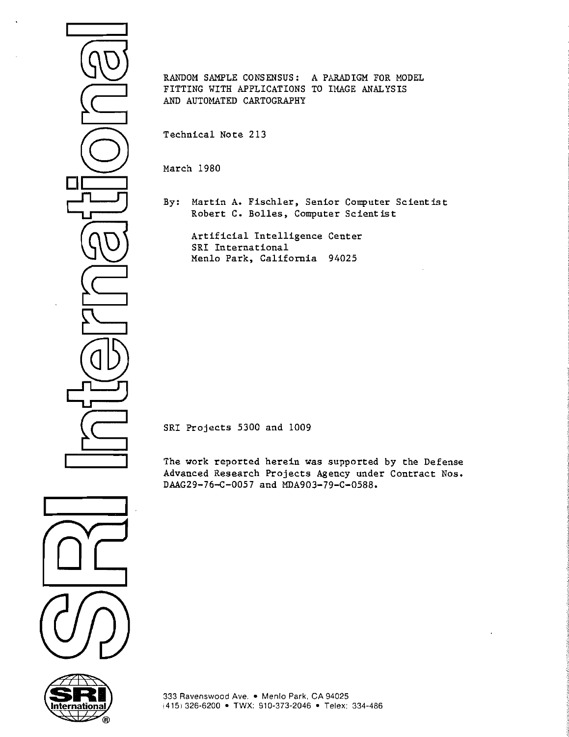

RANDOM SAMPLE CONSENSUS: A PARADIGM FOR MODEL FITTING WITH APPLICATIONS TO IMAGE ANALYSIS AND AUTOMATED CARTOGRAPHY

Technical Note 213

March 1980

By: Martin A. Fischler, Senior Computer Scientist Robert C. Bolles, Computer Scientist

Artificial Intelligence Center SRI International Menlo Park, California 94025

SRI Projects 5300 and 1009

The work reported herein was supported by the Defense Advanced Research Projects Agency under Contract Nos. DAAG29-76-C-0057 and MDA903-79-C-0588.





333 Ravenswood Ave. . Menio Park, CA 94025 (415) 326-6200 • TWX: 910-373-2046 • Telex: 334-486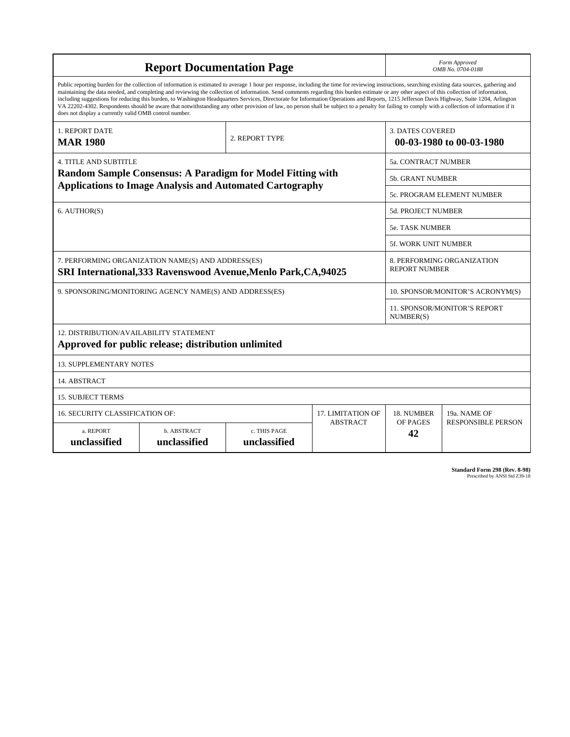| <b>Report Documentation Page</b>                                                                                                                                                                                                                                                                                                                                                                                                                                                                                                                                                                                                                                                                                                                                                                                                                                   |                                                                                                                               |                                                     |                        | Form Approved<br>OMB No. 0704-0188               |                                   |  |
|--------------------------------------------------------------------------------------------------------------------------------------------------------------------------------------------------------------------------------------------------------------------------------------------------------------------------------------------------------------------------------------------------------------------------------------------------------------------------------------------------------------------------------------------------------------------------------------------------------------------------------------------------------------------------------------------------------------------------------------------------------------------------------------------------------------------------------------------------------------------|-------------------------------------------------------------------------------------------------------------------------------|-----------------------------------------------------|------------------------|--------------------------------------------------|-----------------------------------|--|
| Public reporting burden for the collection of information is estimated to average 1 hour per response, including the time for reviewing instructions, searching existing data sources, gathering and<br>maintaining the data needed, and completing and reviewing the collection of information. Send comments regarding this burden estimate or any other aspect of this collection of information,<br>including suggestions for reducing this burden, to Washington Headquarters Services, Directorate for Information Operations and Reports, 1215 Jefferson Davis Highway, Suite 1204, Arlington<br>VA 22202-4302. Respondents should be aware that notwithstanding any other provision of law, no person shall be subject to a penalty for failing to comply with a collection of information if it<br>does not display a currently valid OMB control number. |                                                                                                                               |                                                     |                        |                                                  |                                   |  |
| 1. REPORT DATE<br>2. REPORT TYPE<br><b>MAR 1980</b>                                                                                                                                                                                                                                                                                                                                                                                                                                                                                                                                                                                                                                                                                                                                                                                                                |                                                                                                                               | <b>3. DATES COVERED</b><br>00-03-1980 to 00-03-1980 |                        |                                                  |                                   |  |
| <b>4. TITLE AND SUBTITLE</b>                                                                                                                                                                                                                                                                                                                                                                                                                                                                                                                                                                                                                                                                                                                                                                                                                                       |                                                                                                                               |                                                     |                        |                                                  | 5a. CONTRACT NUMBER               |  |
|                                                                                                                                                                                                                                                                                                                                                                                                                                                                                                                                                                                                                                                                                                                                                                                                                                                                    | Random Sample Consensus: A Paradigm for Model Fitting with<br><b>Applications to Image Analysis and Automated Cartography</b> |                                                     |                        | <b>5b. GRANT NUMBER</b>                          |                                   |  |
|                                                                                                                                                                                                                                                                                                                                                                                                                                                                                                                                                                                                                                                                                                                                                                                                                                                                    |                                                                                                                               |                                                     |                        |                                                  | <b>5c. PROGRAM ELEMENT NUMBER</b> |  |
| 6. AUTHOR(S)                                                                                                                                                                                                                                                                                                                                                                                                                                                                                                                                                                                                                                                                                                                                                                                                                                                       |                                                                                                                               |                                                     |                        | <b>5d. PROJECT NUMBER</b>                        |                                   |  |
|                                                                                                                                                                                                                                                                                                                                                                                                                                                                                                                                                                                                                                                                                                                                                                                                                                                                    |                                                                                                                               |                                                     | <b>5e. TASK NUMBER</b> |                                                  |                                   |  |
|                                                                                                                                                                                                                                                                                                                                                                                                                                                                                                                                                                                                                                                                                                                                                                                                                                                                    |                                                                                                                               |                                                     |                        | <b>5f. WORK UNIT NUMBER</b>                      |                                   |  |
| 7. PERFORMING ORGANIZATION NAME(S) AND ADDRESS(ES)<br>8. PERFORMING ORGANIZATION<br><b>REPORT NUMBER</b><br>SRI International, 333 Ravenswood Avenue, Menlo Park, CA, 94025                                                                                                                                                                                                                                                                                                                                                                                                                                                                                                                                                                                                                                                                                        |                                                                                                                               |                                                     |                        |                                                  |                                   |  |
| 9. SPONSORING/MONITORING AGENCY NAME(S) AND ADDRESS(ES)                                                                                                                                                                                                                                                                                                                                                                                                                                                                                                                                                                                                                                                                                                                                                                                                            |                                                                                                                               |                                                     |                        |                                                  | 10. SPONSOR/MONITOR'S ACRONYM(S)  |  |
|                                                                                                                                                                                                                                                                                                                                                                                                                                                                                                                                                                                                                                                                                                                                                                                                                                                                    |                                                                                                                               |                                                     |                        | <b>11. SPONSOR/MONITOR'S REPORT</b><br>NUMBER(S) |                                   |  |
| 12. DISTRIBUTION/AVAILABILITY STATEMENT<br>Approved for public release; distribution unlimited                                                                                                                                                                                                                                                                                                                                                                                                                                                                                                                                                                                                                                                                                                                                                                     |                                                                                                                               |                                                     |                        |                                                  |                                   |  |
| <b>13. SUPPLEMENTARY NOTES</b>                                                                                                                                                                                                                                                                                                                                                                                                                                                                                                                                                                                                                                                                                                                                                                                                                                     |                                                                                                                               |                                                     |                        |                                                  |                                   |  |
| 14. ABSTRACT                                                                                                                                                                                                                                                                                                                                                                                                                                                                                                                                                                                                                                                                                                                                                                                                                                                       |                                                                                                                               |                                                     |                        |                                                  |                                   |  |
| <b>15. SUBJECT TERMS</b>                                                                                                                                                                                                                                                                                                                                                                                                                                                                                                                                                                                                                                                                                                                                                                                                                                           |                                                                                                                               |                                                     |                        |                                                  |                                   |  |
| <b>16. SECURITY CLASSIFICATION OF:</b><br><b>17. LIMITATION OF</b>                                                                                                                                                                                                                                                                                                                                                                                                                                                                                                                                                                                                                                                                                                                                                                                                 |                                                                                                                               |                                                     |                        | 18. NUMBER                                       | 19a. NAME OF                      |  |
| a. REPORT<br>b. ABSTRACT<br>c. THIS PAGE<br>unclassified<br>unclassified<br>unclassified                                                                                                                                                                                                                                                                                                                                                                                                                                                                                                                                                                                                                                                                                                                                                                           |                                                                                                                               | <b>ABSTRACT</b>                                     | OF PAGES<br>42         | <b>RESPONSIBLE PERSON</b>                        |                                   |  |

**Standard Form 298 (Rev. 8-98)**<br>Prescribed by ANSI Std Z39-18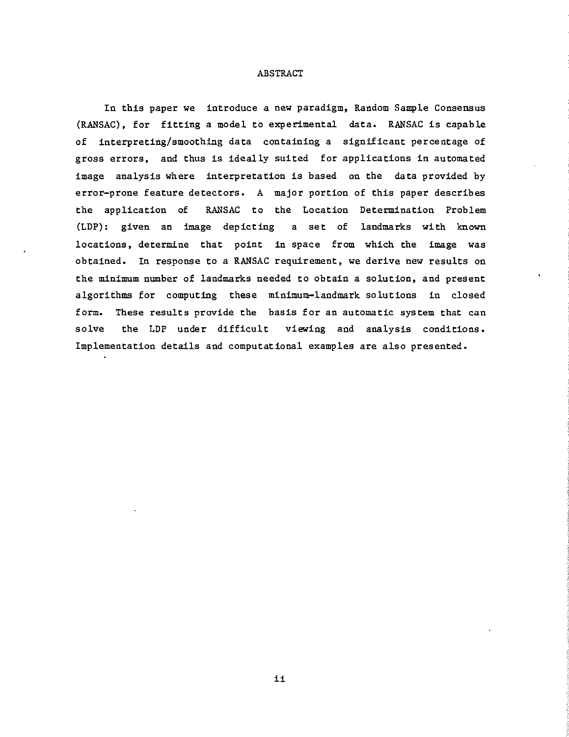# **ABSTRACT**

In this paper we introduce a new paradigm, Random Sample Consensus (RANSAC), for fitting a model to experimental data. RANSAC is capable of interpreting/smoothing data containing a significant percentage of gross errors, and thus is ideally suited for applications in automated image analysis where interpretation is based on the data provided by error-prone feature detectors. A major portion of this paper describes the application of RANSAC to the Location Determination Problem (LDP): given an image depicting a set of landmarks with known locations, determine that point in space from which the image was obtained. In response to a RANSAC requirement, we derive new results on the minimum number of landmarks needed to obtain a solution, and present algorithms for computing these minimum-landmark solutions in closed form. These results provide the basis for an automatic system that can the LDP under difficult viewing and analysis conditions. solve Implementation details and computational examples are also presented.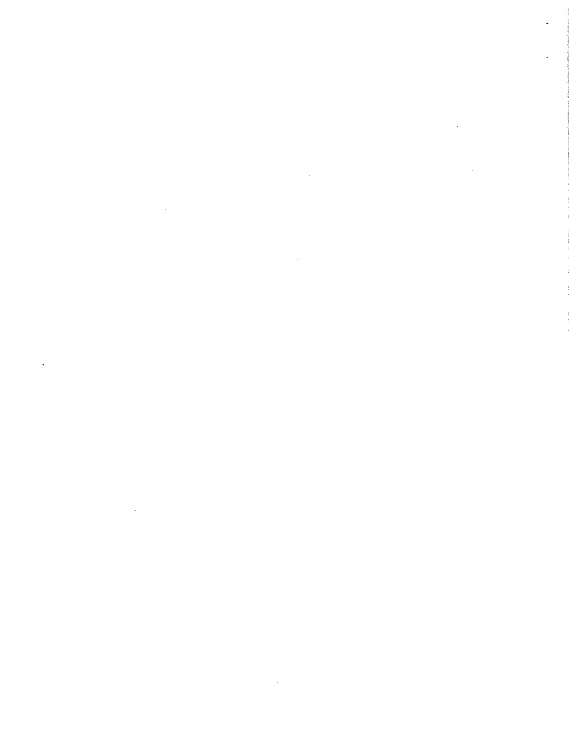$\label{eq:2} \frac{1}{\sqrt{2}}\int_{0}^{\infty}\frac{1}{\sqrt{2}}\left(\frac{1}{\sqrt{2}}\right)^{2}d\mu\int_{0}^{\infty}\frac{1}{\sqrt{2}}\left(\frac{1}{\sqrt{2}}\right)^{2}d\mu\int_{0}^{\infty}\frac{1}{\sqrt{2}}\left(\frac{1}{\sqrt{2}}\right)^{2}d\mu\int_{0}^{\infty}\frac{1}{\sqrt{2}}\left(\frac{1}{\sqrt{2}}\right)^{2}d\mu\int_{0}^{\infty}\frac{1}{\sqrt{2}}\left(\frac{1}{\sqrt{2}}\right)^{2}d\mu\int_{$ 

 $\label{eq:2.1} \frac{1}{\sqrt{2}}\left(\frac{1}{\sqrt{2}}\right)^{2} \left(\frac{1}{\sqrt{2}}\right)^{2} \left(\frac{1}{\sqrt{2}}\right)^{2} \left(\frac{1}{\sqrt{2}}\right)^{2} \left(\frac{1}{\sqrt{2}}\right)^{2} \left(\frac{1}{\sqrt{2}}\right)^{2} \left(\frac{1}{\sqrt{2}}\right)^{2} \left(\frac{1}{\sqrt{2}}\right)^{2} \left(\frac{1}{\sqrt{2}}\right)^{2} \left(\frac{1}{\sqrt{2}}\right)^{2} \left(\frac{1}{\sqrt{2}}\right)^{2} \left(\$ 

 $\sigma_{\rm{max}}=0.1$ 

 $\mathcal{L}(\mathcal{L})$  . The  $\mathcal{L}(\mathcal{L})$ 

 $\label{eq:2.1} \frac{1}{2} \sum_{i=1}^n \frac{1}{2} \sum_{j=1}^n \frac{1}{2} \sum_{j=1}^n \frac{1}{2} \sum_{j=1}^n \frac{1}{2} \sum_{j=1}^n \frac{1}{2} \sum_{j=1}^n \frac{1}{2} \sum_{j=1}^n \frac{1}{2} \sum_{j=1}^n \frac{1}{2} \sum_{j=1}^n \frac{1}{2} \sum_{j=1}^n \frac{1}{2} \sum_{j=1}^n \frac{1}{2} \sum_{j=1}^n \frac{1}{2} \sum_{j=1}^n \frac{$ 

 $\mathcal{O}(\mathcal{O}(\log n))$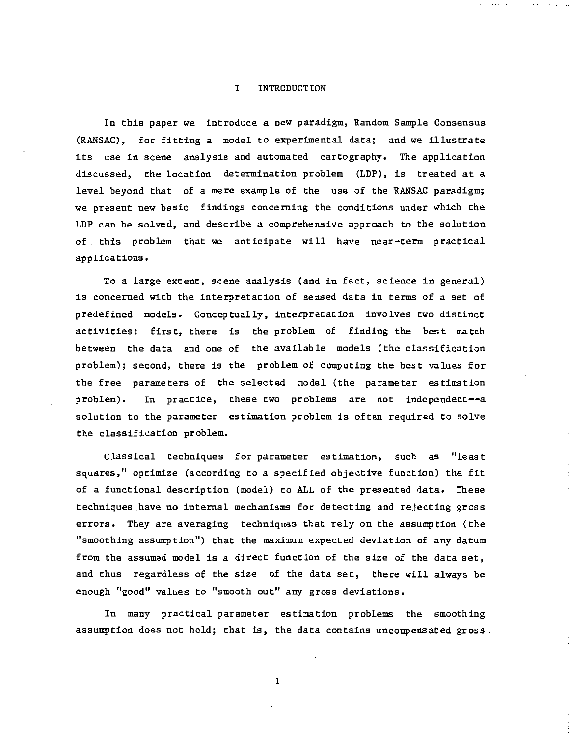### INTRODUCTION  $I$

In this paper we introduce a new paradigm. Random Sample Consensus (RANSAC), for fitting a model to experimental data; and we illustrate its use in scene analysis and automated cartography. The application discussed, the location determination problem (LDP), is treated at a level beyond that of a mere example of the use of the RANSAC paradigm; we present new basic findings concerning the conditions under which the LDP can be solved, and describe a comprehensive approach to the solution of this problem that we anticipate will have near-term practical applications.

To a large extent, scene analysis (and in fact, science in general) is concerned with the interpretation of sensed data in terms of a set of predefined models. Conceptually, interpretation involves two distinct activities: first, there is the problem of finding the best match between the data and one of the available models (the classification problem); second, there is the problem of computing the best values for the free parameters of the selected model (the parameter estimation problem). In practice, these two problems are not independent--a solution to the parameter estimation problem is often required to solve the classification problem.

Classical techniques for parameter estimation, such as "least squares," optimize (according to a specified objective function) the fit of a functional description (model) to ALL of the presented data. These techniques have no internal mechanisms for detecting and rejecting gross errors. They are averaging techniques that rely on the assumption (the "smoothing assumption") that the maximum expected deviation of any datum from the assumed model is a direct function of the size of the data set, and thus regardless of the size of the data set, there will always be enough "good" values to "smooth out" any gross deviations.

In many practical parameter estimation problems the smoothing assumption does not hold; that is, the data contains uncompensated gross.

 $\mathbf 1$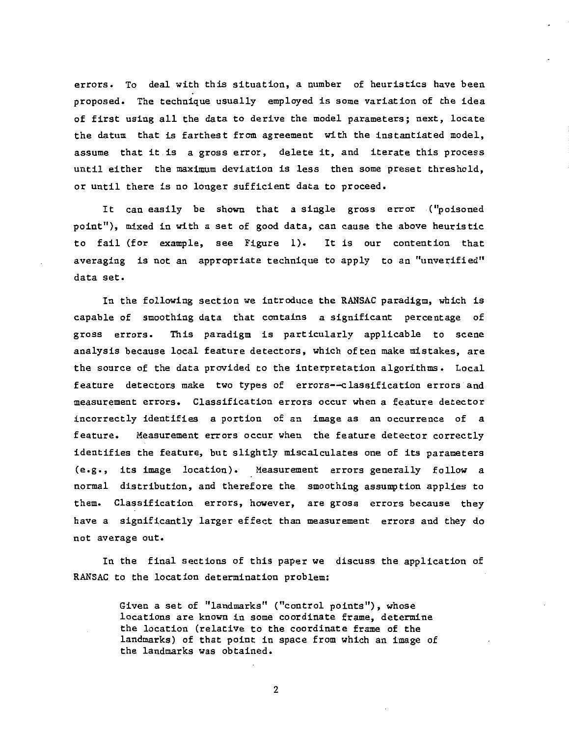errors. To deal with this situation, a number of heuristics have been proposed. The technique usually employed is some variation of the idea of first using all the data to derive the model parameters; next, locate the datum that is farthest from agreement with the instantiated model, assume that it is a gross error, delete it, and iterate this process until either the maximum deviation is less then some preset threshold, or until there is no longer sufficient data to proceed.

It can easily be shown that a single gross error ("poisoned point"), mixed in with a set of good data, can cause the above heuristic to fail (for example, see Figure 1). It is our contention that averaging is not an appropriate technique to apply to an "unverified" data set.

In the following section we introduce the RANSAC paradigm, which is capable of smoothing data that contains a significant percentage of gross errors. This paradigm is particularly applicable to scene analysis because local feature detectors, which often make mistakes, are the source of the data provided to the interpretation algorithms. Local feature detectors make two types of errors--classification errors and measurement errors. Classification errors occur when a feature detector incorrectly identifies a portion of an image as an occurrence of a feature. Measurement errors occur when the feature detector correctly identifies the feature, but slightly miscalculates one of its parameters (e.g., its image location). Measurement errors generally follow a normal distribution, and therefore the smoothing assumption applies to them. Classification errors, however, are gross errors because they have a significantly larger effect than measurement errors and they do not average out.

In the final sections of this paper we discuss the application of RANSAC to the location determination problem:

> Given a set of "landmarks" ("control points"), whose locations are known in some coordinate frame, determine the location (relative to the coordinate frame of the landmarks) of that point in space from which an image of the landmarks was obtained.

> > $\overline{2}$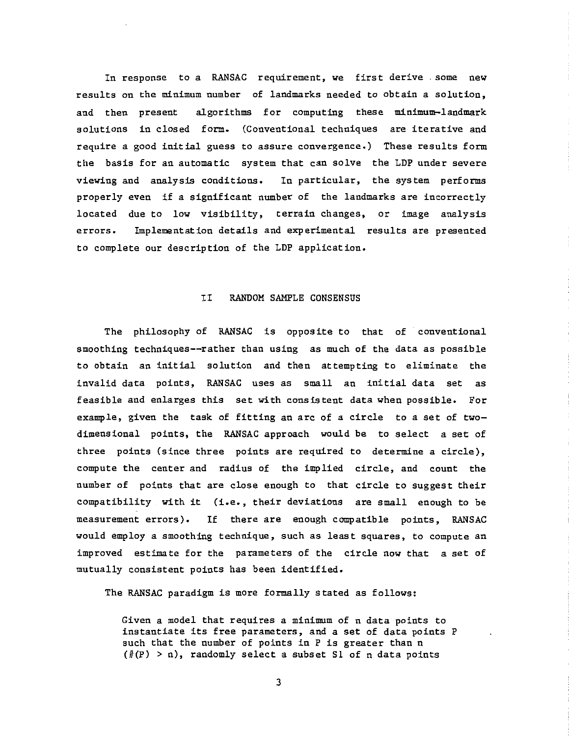In response to a RANSAC requirement, we first derive some new results on the minimum number of landmarks needed to obtain a solution, algorithms for computing these minimum-landmark and then present solutions in closed form. (Conventional techniques are iterative and require a good initial guess to assure convergence.) These results form the basis for an automatic system that can solve the LDP under severe In particular, the system performs viewing and analysis conditions. properly even if a significant number of the landmarks are incorrectly located due to low visibility, terrain changes, or image analysis Implementation details and experimental results are presented errors. to complete our description of the LDP application.

### RANDOM SAMPLE CONSENSUS  $II$

The philosophy of RANSAC is opposite to that of conventional smoothing techniques--rather than using as much of the data as possible to obtain an initial solution and then attempting to eliminate the invalid data points, RANSAC uses as small an initial data set as feasible and enlarges this set with consistent data when possible. For example, given the task of fitting an arc of a circle to a set of twodimensional points, the RANSAC approach would be to select a set of three points (since three points are required to determine a circle), compute the center and radius of the implied circle, and count the number of points that are close enough to that circle to suggest their compatibility with it (i.e., their deviations are small enough to be measurement errors). If there are enough compatible points, RANSAC would employ a smoothing technique, such as least squares, to compute an improved estimate for the parameters of the circle now that a set of mutually consistent points has been identified.

The RANSAC paradigm is more formally stated as follows:

Given a model that requires a minimum of n data points to instantiate its free parameters, and a set of data points P such that the number of points in P is greater than n  $(\#(P) > n)$ , randomly select a subset Sl of n data points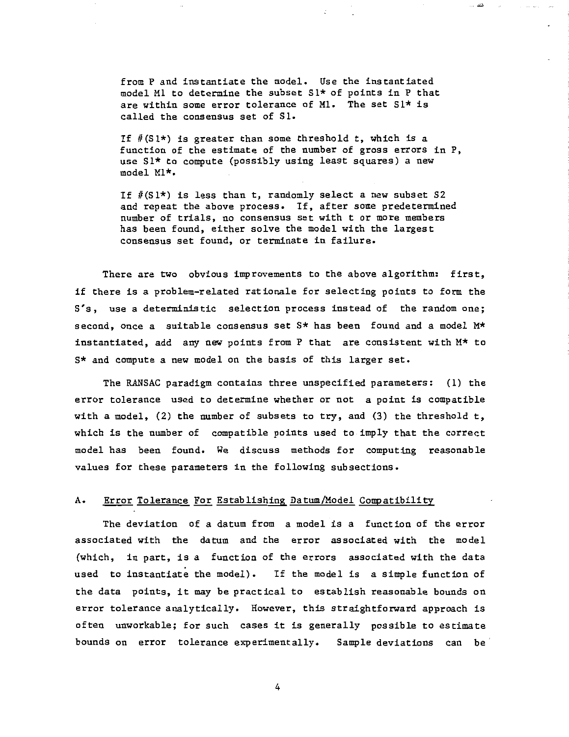from P and instantiate the model. Use the instantiated model Ml to determine the subset S1\* of points in P that are within some error tolerance of Ml. The set S1\* is called the consensus set of Sl.

 $\ddot{\cdot}$ 

 $\Delta\bar{\Sigma}$ 

If  $#(S1*)$  is greater than some threshold t, which is a function of the estimate of the number of gross errors in P, use S1\* to compute (possibly using least squares) a new model M1\*.

If  $#(S1*)$  is less than t, randomly select a new subset S2 and repeat the above process. If, after some predetermined number of trials, no consensus set with t or more members has been found, either solve the model with the largest consensus set found, or terminate in failure.

There are two obvious improvements to the above algorithm: first, if there is a problem-related rationale for selecting points to form the S's, use a deterministic selection process instead of the random one; second, once a suitable consensus set S\* has been found and a model M\* instantiated, add any new points from P that are consistent with M\* to S\* and compute a new model on the basis of this larger set.

The RANSAC paradigm contains three unspecified parameters: (1) the error tolerance used to determine whether or not a point is compatible with a model, (2) the number of subsets to try, and (3) the threshold  $t$ , which is the number of compatible points used to imply that the correct model has been found. We discuss methods for computing reasonable values for these parameters in the following subsections.

### Error Tolerance For Establishing Datum/Model Compatibility  $A_{\bullet}$

The deviation of a datum from a model is a function of the error associated with the datum and the error associated with the model (which, in part, is a function of the errors associated with the data used to instantiate the model). If the model is a simple function of the data points, it may be practical to establish reasonable bounds on error tolerance analytically. However, this straightforward approach is often unworkable; for such cases it is generally possible to estimate bounds on error tolerance experimentally. Sample deviations can be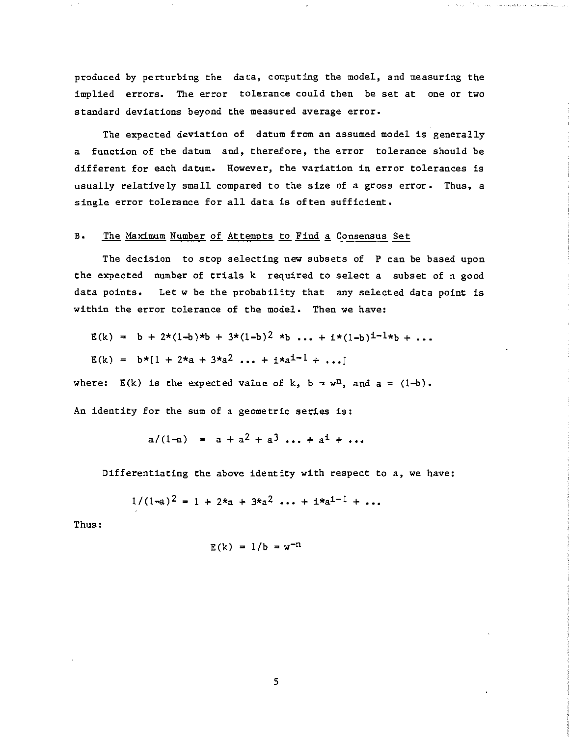produced by perturbing the data, computing the model, and measuring the implied errors. The error tolerance could then be set at one or two standard deviations beyond the measured average error.

The expected deviation of datum from an assumed model is generally a function of the datum and, therefore, the error tolerance should be different for each datum. However, the variation in error tolerances is usually relatively small compared to the size of a gross error. Thus, a single error tolerance for all data is often sufficient.

### $B -$ The Maximum Number of Attempts to Find a Consensus Set

The decision to stop selecting new subsets of P can be based upon the expected number of trials k required to select a subset of n good data points. Let w be the probability that any selected data point is within the error tolerance of the model. Then we have:

$$
E(k) = b + 2*(1-b)*b + 3*(1-b)^2 *b \dots + 1*(1-b)^{1-1}b + \dots
$$

 $E(k) = b*[1 + 2*a + 3*a^2 ... + i*a^{1-1} + ...]$ 

where:  $E(k)$  is the expected value of k,  $b = w<sup>n</sup>$ , and  $a = (1-b)$ .

An identity for the sum of a geometric series is:

 $a/(1-a) = a + a^2 + a^3$  ... +  $a^1$  + ...

Differentiating the above identity with respect to a, we have:

$$
1/(1-a)^2 = 1 + 2*a + 3*a^2 \dots + 1*a^{1-1} + \dots
$$

Thus:

$$
E(k) = 1/b = w^{-n}
$$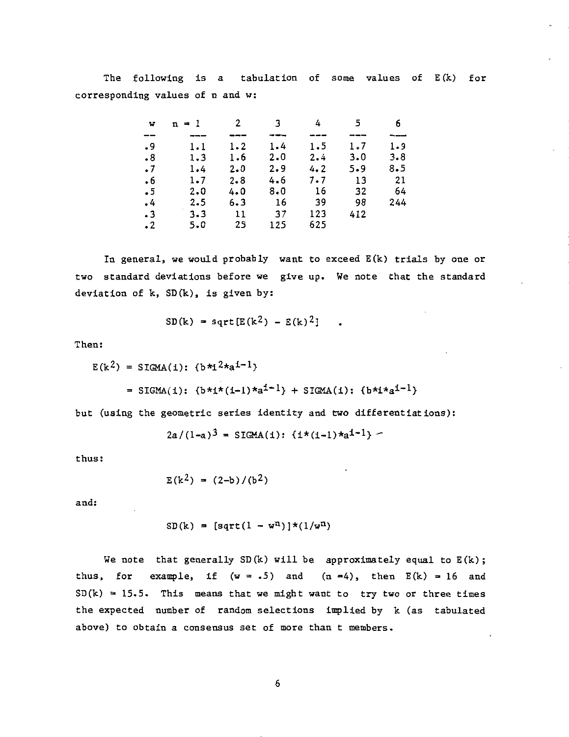The following is a tabulation of some values of E(k) for corresponding values of n and w:

| w         | $n = 1$ | $\overline{2}$ | 3   | 4   | 5       | 6       |
|-----------|---------|----------------|-----|-----|---------|---------|
| --        |         |                |     |     |         |         |
| $\cdot$ 9 | 1.1     | 1.2            | 1.4 | 1.5 | 1.7     | 1.9     |
| $\cdot$ 8 | 1.3     | 1.6            | 2.0 | 2.4 | 3.0     | 3.8     |
| $\cdot$ 7 | 1.4     | 2.0            | 2.9 | 4.2 | $5 - 9$ | $8 - 5$ |
| $\cdot 6$ | $1 - 7$ | $2 - 8$        | 4.6 | 7.7 | 13      | 21      |
| $\cdot$ 5 | 2.0     | $4 - 0$        | 8.0 | -16 | 32      | 64      |
| $\cdot$ 4 | 2.5     | $6 - 3$        | 16  | 39  | 98      | 244     |
| $\cdot$ 3 | 3.3     | 11             | 37  | 123 | 412     |         |
| $\cdot$ 2 | 5.0     | 25             | 125 | 625 |         |         |

In general, we would probably want to exceed E(k) trials by one or two standard deviations before we give up. We note that the standard deviation of k, SD(k), is given by:

$$
SD(k) = sqrt[E(k^2) - E(k)^2]
$$

Then:

$$
E(k2) = SIGMA(1): {b*12*a1-1}
$$
  
= SIGMA(1): {b\*1\*(1-1)\*a<sup>1-1</sup>} + SIGMA(1): {b\*1\*a<sup>1-1</sup>}

but (using the geometric series identity and two differentiations):

 $2a/(1-a)^3$  = SIGMA(1):  $\{i*(1-1)*a^{1-1}\}$  -

thus:

$$
E(k^2) = (2-b)/(b^2)
$$

and:

$$
SD(k) = [sqrt(1 - wn)]*(1/wn)
$$

We note that generally  $SD(k)$  will be approximately equal to  $E(k)$ ; thus, for example, if  $(w = .5)$  and  $(n = 4)$ , then  $E(k) = 16$  and  $SD(k) = 15.5$ . This means that we might want to try two or three times the expected number of random selections implied by k (as tabulated above) to obtain a consensus set of more than t members.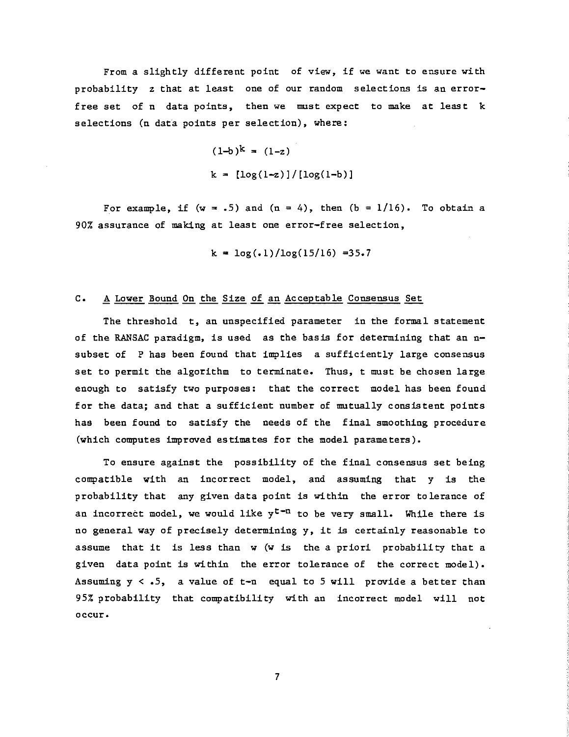From a slightly different point of view, if we want to ensure with probability z that at least one of our random selections is an errorfree set of n data points, then we must expect to make at least k selections (n data points per selection), where:

$$
(1-b)^k = (1-z)
$$
  
k =  $\lfloor \log(1-z) \rfloor / \lfloor \log(1-b) \rfloor$ 

For example, if  $(w = .5)$  and  $(n = 4)$ , then  $(b = 1/16)$ . To obtain a 90% assurance of making at least one error-free selection,

$$
k = \log(.1)/\log(15/16) = 35.7
$$

# C. A Lower Bound On the Size of an Acceptable Consensus Set

The threshold t, an unspecified parameter in the formal statement of the RANSAC paradigm, is used as the basis for determining that an nsubset of P has been found that implies a sufficiently large consensus set to permit the algorithm to terminate. Thus, t must be chosen large enough to satisfy two purposes: that the correct model has been found for the data; and that a sufficient number of mutually consistent points has been found to satisfy the needs of the final smoothing procedure (which computes improved estimates for the model parameters).

To ensure against the possibility of the final consensus set being compatible with an incorrect model, and assuming that y is the probability that any given data point is within the error tolerance of an incorrect model, we would like y<sup>t-n</sup> to be very small. While there is no general way of precisely determining y, it is certainly reasonable to assume that it is less than w (w is the a priori probability that a given data point is within the error tolerance of the correct model). Assuming  $y < .5$ , a value of  $t-n$  equal to 5 will provide a better than 95% probability that compatibility with an incorrect model will not occur.

 $\overline{7}$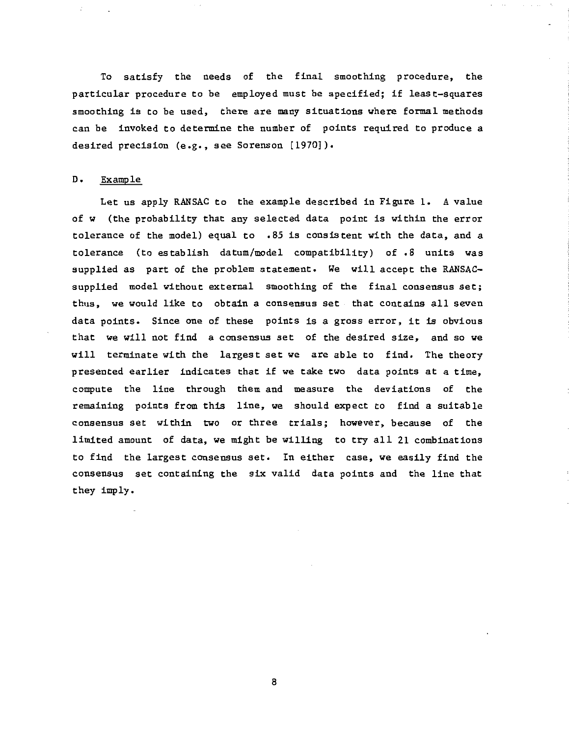To satisfy the needs of the final smoothing procedure, the particular procedure to be employed must be specified; if least-squares smoothing is to be used, there are many situations where formal methods can be invoked to determine the number of points required to produce a desired precision (e.g., see Sorenson [1970]).

### $D$ .  $Example$

Let us apply RANSAC to the example described in Figure 1. A value of w (the probability that any selected data point is within the error tolerance of the model) equal to .85 is consistent with the data, and a tolerance (to establish datum/model compatibility) of .8 units was supplied as part of the problem statement. We will accept the RANSACsupplied model without external smoothing of the final consensus set; thus, we would like to obtain a consensus set that contains all seven data points. Since one of these points is a gross error, it is obvious that we will not find a consensus set of the desired size, and so we will terminate with the largest set we are able to find. The theory presented earlier indicates that if we take two data points at a time, compute the line through them and measure the deviations of the remaining points from this line, we should expect to find a suitable consensus set within two or three trials; however, because of the limited amount of data, we might be willing to try all 21 combinations to find the largest consensus set. In either case, we easily find the consensus set containing the six valid data points and the line that they imply.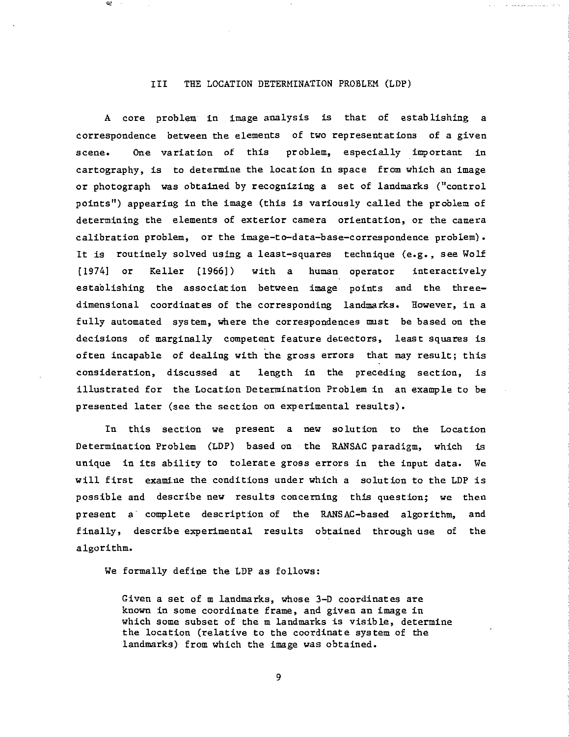#### **TTT** THE LOCATION DETERMINATION PROBLEM (LDP)

and the manufacturers are account to the control

A core problem in image analysis is that of establishing a correspondence between the elements of two representations of a given One variation of this problem, especially important in scene. cartography, is to determine the location in space from which an image or photograph was obtained by recognizing a set of landmarks ("control points") appearing in the image (this is variously called the problem of determining the elements of exterior camera orientation, or the camera calibration problem, or the image-to-data-base-correspondence problem). It is routinely solved using a least-squares technique (e.g., see Wolf  $[1974]$  or Keller [1966]) with a human operator interactively establishing the association between image points and the threedimensional coordinates of the corresponding landmarks. However, in a fully automated system, where the correspondences must be based on the decisions of marginally competent feature detectors, least squares is often incapable of dealing with the gross errors that may result; this consideration, discussed at length in the preceding section, is illustrated for the Location Determination Problem in an example to be presented later (see the section on experimental results).

In this section we present a new solution to the Location Determination Problem (LDP) based on the RANSAC paradigm, which is unique in its ability to tolerate gross errors in the input data. We will first examine the conditions under which a solution to the LDP is possible and describe new results concerning this question; we then present a complete description of the RANSAC-based algorithm, and finally, describe experimental results obtained through use of the algorithm.

We formally define the LDP as follows:

Given a set of m landmarks, whose 3-D coordinates are known in some coordinate frame, and given an image in which some subset of the m landmarks is visible, determine the location (relative to the coordinate system of the landmarks) from which the image was obtained.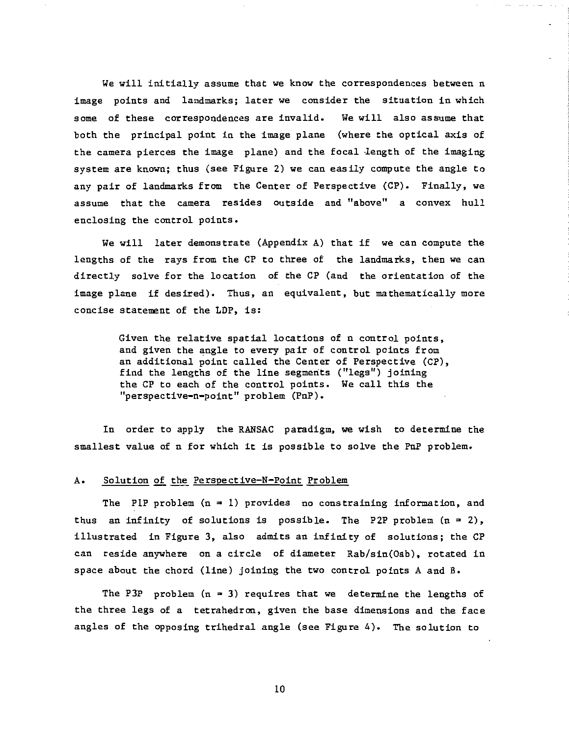We will initially assume that we know the correspondences between n image points and landmarks; later we consider the situation in which some of these correspondences are invalid. We will also assume that both the principal point in the image plane (where the optical axis of the camera pierces the image plane) and the focal length of the imaging system are known; thus (see Figure 2) we can easily compute the angle to any pair of landmarks from the Center of Perspective (CP). Finally, we assume that the camera resides outside and "above" a convex hull enclosing the control points.

We will later demonstrate (Appendix A) that if we can compute the lengths of the rays from the CP to three of the landmarks, then we can directly solve for the location of the CP (and the orientation of the image plane if desired). Thus, an equivalent, but mathematically more concise statement of the LDP, is:

> Given the relative spatial locations of n control points, and given the angle to every pair of control points from an additional point called the Center of Perspective (CP). find the lengths of the line segments ("legs") joining the CP to each of the control points. We call this the "perspective-n-point" problem (PnP).

In order to apply the RANSAC paradigm, we wish to determine the smallest value of n for which it is possible to solve the PnP problem.

#### $A -$ Solution of the Perspective-N-Point Problem

The PIP problem  $(n = 1)$  provides no constraining information, and thus an infinity of solutions is possible. The P2P problem  $(n = 2)$ , illustrated in Figure 3, also admits an infinity of solutions; the CP can reside anywhere on a circle of diameter Rab/sin(Oab), rotated in space about the chord (line) joining the two control points A and B.

The P3P problem  $(n = 3)$  requires that we determine the lengths of the three legs of a tetrahedron, given the base dimensions and the face angles of the opposing trihedral angle (see Figure 4). The solution to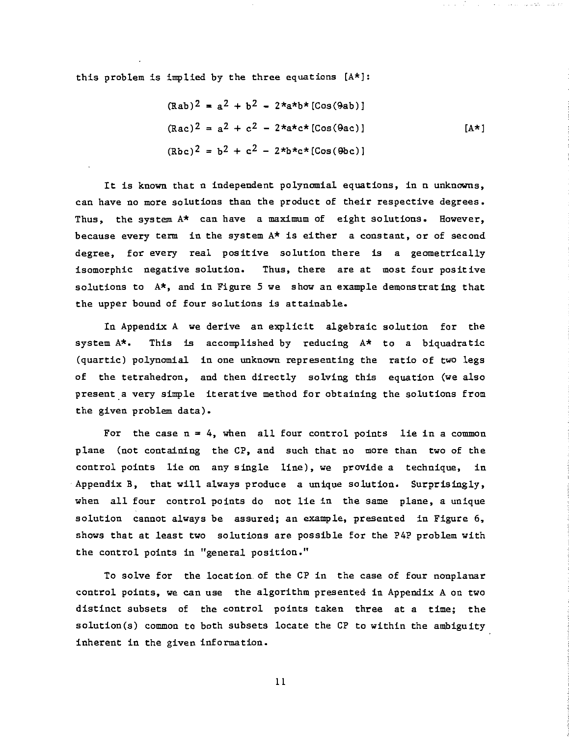this problem is implied by the three equations [A\*]:

$$
(Rab)^2 = a^2 + b^2 - 2*a*b*(\cos(\theta ab))
$$
  
\n
$$
(Rac)^2 = a^2 + c^2 - 2*a*c*(\cos(\theta ac))
$$
\n
$$
(Bbc)^2 = b^2 + c^2 - 2*b*c*(\cos(\theta bc))
$$
\n
$$
(A*)^2 = (A*)^2 + (A*)^2 + (A*)^2 = (A*)^2 + (A*)^2 = (A*)^2 + (A*)^2 = (A*)^2 + (A*)^2 = (A*)^2 = (A*)^2 = (A*)^2 = (A*)^2 = (A*)^2 = (A*)^2 = (A*)^2 = (A*)^2 = (A*)^2 = (A*)^2 = (A*)^2 = (A*)^2 = (A*)^2 = (A*)^2 = (A*)^2 = (A*)^2 = (A*)^2 = (A*)^2 = (A*)^2 = (A*)^2 = (A*)^2 = (A*)^2 = (A*)^2 = (A*)^2 = (A*)^2 = (A*)^2 = (A*)^2 = (A*)^2 = (A*)^2 = (A*)^2 = (A*)^2 = (A*)^2 = (A*)^2 = (A*)^2 = (A*)^2 = (A*)^2 = (A*)^2 = (A*)^2 = (A*)^2 = (A*)^2 = (A*)^2 = (A*)^2 = (A*)^2 = (A*)^2 = (A*)^2 = (A*)^2 = (A*)^2 = (A*)^2 = (A*)^2 = (A*)^2 = (A*)^2 = (A*)^2 = (A*)^2 = (A*)^2 = (A*)^2 = (A*)^2 = (A*)^2 = (A*)^2 = (A*)^2 = (A*)^2 = (A*)^2 = (A*)^2 = (A*)^2 = (A*)^2 = (A*)^2 = (A*)^2 = (A*)^2 = (A*)^2 = (A*)^2 = (A*)^2 = (A*)^2 = (A*)^2 = (A*)^2 = (A*)^2 = (A*)^2 = (A*)^2 = (A*)^2 = (A*)^2 = (A*)^2 = (A*)^2 = (A*)^2 = (A*)^2 = (A*)^2 = (A*)^2 = (A*)^2 = (A*)^2 = (A*)^2 = (A*)^2 = (A*)^2 = (A*)^2 = (A*)^2 = (A*)^2 = (A*)^2 = (A*)^2 = (A*)^2 = (A*)^2 = (A*)^2 = (A*)^2 = (A*)^2 = (A
$$

It is known that n independent polynomial equations, in n unknowns, can have no more solutions than the product of their respective degrees. Thus, the system A\* can have a maximum of eight solutions. However, because every term in the system A\* is either a constant, or of second degree, for every real positive solution there is a geometrically isomorphic negative solution. Thus, there are at most four positive solutions to A\*, and in Figure 5 we show an example demonstrating that the upper bound of four solutions is attainable.

In Appendix A we derive an explicit algebraic solution for the This is accomplished by reducing A\* to a biquadratic system A\*. (quartic) polynomial in one unknown representing the ratio of two legs of the tetrahedron, and then directly solving this equation (we also present a very simple iterative method for obtaining the solutions from the given problem data).

For the case  $n = 4$ , when all four control points lie in a common plane (not containing the CP, and such that no more than two of the control points lie on any single line), we provide a technique, in Appendix B, that will always produce a unique solution. Surprisingly, when all four control points do not lie in the same plane, a unique solution cannot always be assured; an example, presented in Figure 6, shows that at least two solutions are possible for the P4P problem with the control points in "general position."

To solve for the location of the CP in the case of four nonplanar control points, we can use the algorithm presented in Appendix A on two distinct subsets of the control points taken three at a time; the solution(s) common to both subsets locate the CP to within the ambiguity inherent in the given information.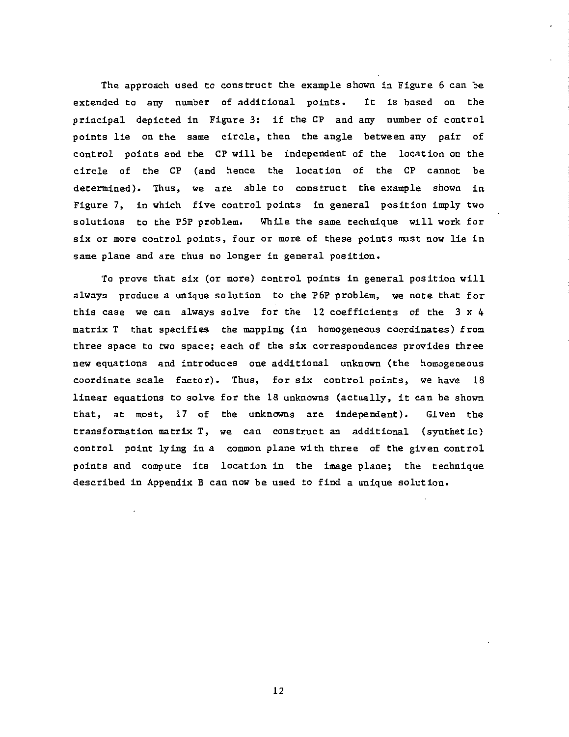The approach used to construct the example shown in Figure 6 can be extended to any number of additional points. It is based on the principal depicted in Figure 3: if the CP and any number of control points lie on the same circle, then the angle between any pair of control points and the CP will be independent of the location on the circle of the CP (and hence the location of the CP cannot be determined). Thus, we are able to construct the example shown in Figure 7, in which five control points in general position imply two solutions to the P5P problem. While the same technique will work for six or more control points, four or more of these points must now lie in same plane and are thus no longer in general position.

To prove that six (or more) control points in general position will always produce a unique solution to the P6P problem, we note that for this case we can always solve for the 12 coefficients of the 3 x 4 matrix T that specifies the mapping (in homogeneous coordinates) from three space to two space; each of the six correspondences provides three new equations and introduces one additional unknown (the homogeneous coordinate scale factor). Thus, for six control points, we have 18 linear equations to solve for the 18 unknowns (actually, it can be shown that, at most, 17 of the unknowns are independent). Given the transformation matrix T, we can construct an additional (synthetic) control point lying in a common plane with three of the given control points and compute its location in the image plane; the technique described in Appendix B can now be used to find a unique solution.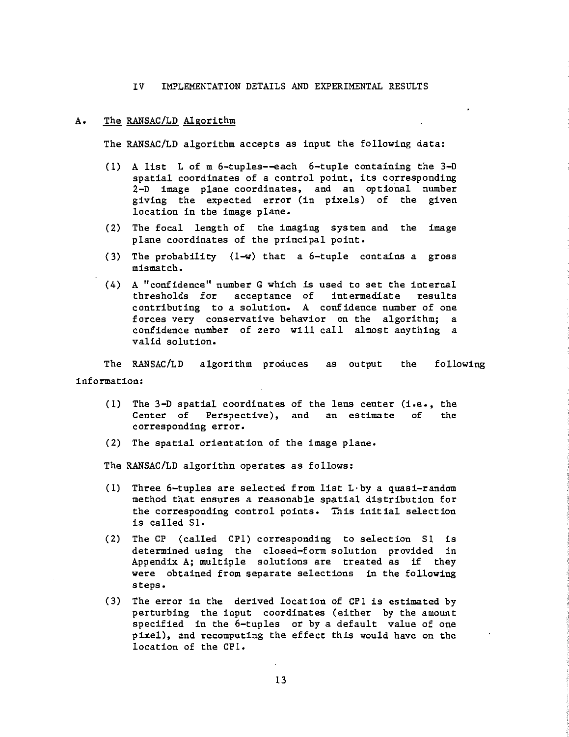### IMPLEMENTATION DETAILS AND EXPERIMENTAL RESULTS **TV**

#### $A -$ The RANSAC/LD Algorithm

The RANSAC/LD algorithm accepts as input the following data:

- (1) A list L of m 6-tuples--each 6-tuple containing the 3-D spatial coordinates of a control point, its corresponding 2-D image plane coordinates, and an optional number giving the expected error (in pixels) of the given location in the image plane.
- (2) The focal length of the imaging system and the image plane coordinates of the principal point.
- (3) The probability (1-w) that a 6-tuple contains a gross mismatch.
- (4) A "confidence" number G which is used to set the internal thresholds for acceptance of intermediate results contributing to a solution. A confidence number of one forces very conservative behavior on the algorithm; a confidence number of zero will call almost anything a valid solution.

The RANSAC/LD algorithm produces output the following as information:

- (1) The 3-D spatial coordinates of the lens center (i.e., the Center of Perspective), and an estimate of the corresponding error.
- (2) The spatial orientation of the image plane.

The RANSAC/LD algorithm operates as follows:

- (1) Three 6-tuples are selected from list L·by a quasi-random method that ensures a reasonable spatial distribution for the corresponding control points. This initial selection is called SI.
- (2) The CP (called CPI) corresponding to selection SI is determined using the closed-form solution provided in Appendix A; multiple solutions are treated as if they were obtained from separate selections in the following steps.
- (3) The error in the derived location of CPI is estimated by perturbing the input coordinates (either by the amount specified in the 6-tuples or by a default value of one pixel), and recomputing the effect this would have on the location of the CPI.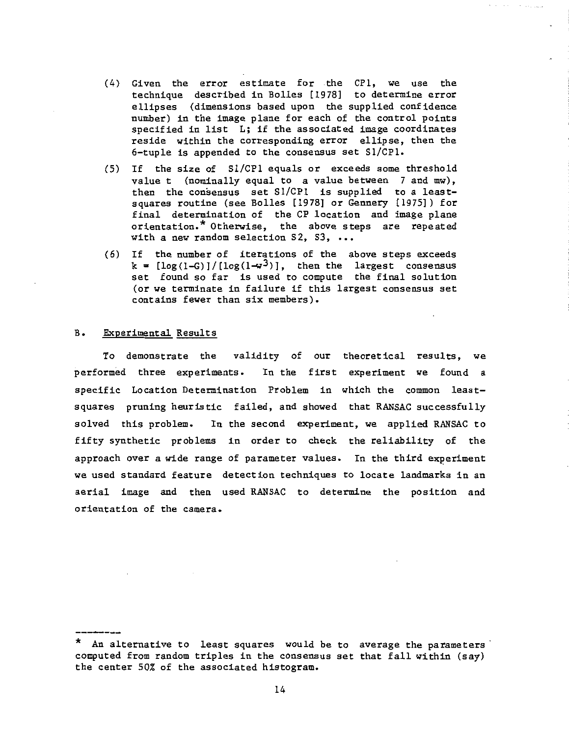(4) Given the error estimate for the CPl, we use the technique described in Bolles [1978] to determine error ellipses (dimensions based upon the supplied confidence number) in the image plane for each of the control points specified in list L; if the associated image coordinates reside within the corresponding error ellipse, then the 6-tuple is appended to the consensus set S1/CP1.

s i sin series de la caractería

- (5) If the size of S1/CP1 equals or exceeds some threshold value t (nominally equal to a value between 7 and mw), then the consensus set S1/CP1 is supplied to a leastsquares routine (see Bolles [1978] or Gennery [1975]) for final determination of the CP location and image plane orientation.<sup>\*</sup> Otherwise, the above steps are repeated with a new random selection S2, S3, ...
- (6) If the number of iterations of the above steps exceeds  $k = \lfloor \log(1-G) \rfloor / \lfloor \log(1 - x^3) \rfloor$ , then the largest consensus set found so far is used to compute the final solution (or we terminate in failure if this largest consensus set contains fewer than six members).

# B. Experimental Results

To demonstrate the validity of our theoretical results, we performed three experiments. In the first experiment we found a specific Location Determination Problem in which the common leastsquares pruning heuristic failed, and showed that RANSAC successfully In the second experiment, we applied RANSAC to solved this problem. fifty synthetic problems in order to check the reliability of the approach over a wide range of parameter values. In the third experiment we used standard feature detection techniques to locate landmarks in an aerial image and then used RANSAC to determine the position and orientation of the camera.

An alternative to least squares would be to average the parameters computed from random triples in the consensus set that fall within (say) the center 50% of the associated histogram.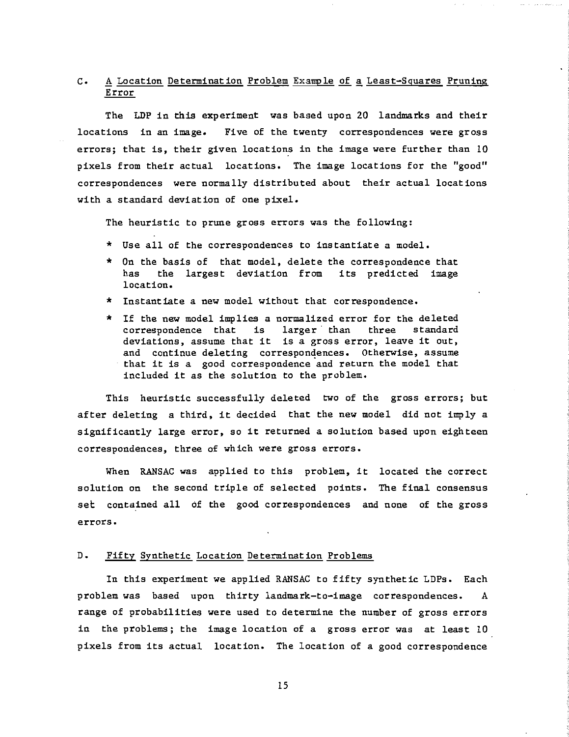### A Location Determination Problem Example of a Least-Squares Pruning  $\mathbf{C}$ . Error

The LDP in this experiment was based upon 20 landmarks and their locations in an image. Five of the twenty correspondences were gross errors; that is, their given locations in the image were further than 10 pixels from their actual locations. The image locations for the "good" correspondences were normally distributed about their actual locations with a standard deviation of one pixel.

The heuristic to prune gross errors was the following:

- \* Use all of the correspondences to instantiate a model.
- \* On the basis of that model, delete the correspondence that has the largest deviation from its predicted image location.
- \* Instantiate a new model without that correspondence.
- \* If the new model implies a normalized error for the deleted correspondence that is larger than three standard deviations, assume that it is a gross error, leave it out, and continue deleting correspondences. Otherwise, assume that it is a good correspondence and return the model that included it as the solution to the problem.

This heuristic successfully deleted two of the gross errors; but after deleting a third, it decided that the new model did not imply a significantly large error, so it returned a solution based upon eighteen correspondences, three of which were gross errors.

When RANSAC was applied to this problem, it located the correct solution on the second triple of selected points. The final consensus set contained all of the good correspondences and none of the gross errors.

### $D$ . Fifty Synthetic Location Determination Problems

In this experiment we applied RANSAC to fifty synthetic LDPs. Each problem was based upon thirty landmark-to-image correspondences.  $\mathbf{A}$ range of probabilities were used to determine the number of gross errors in the problems; the image location of a gross error was at least 10 pixels from its actual location. The location of a good correspondence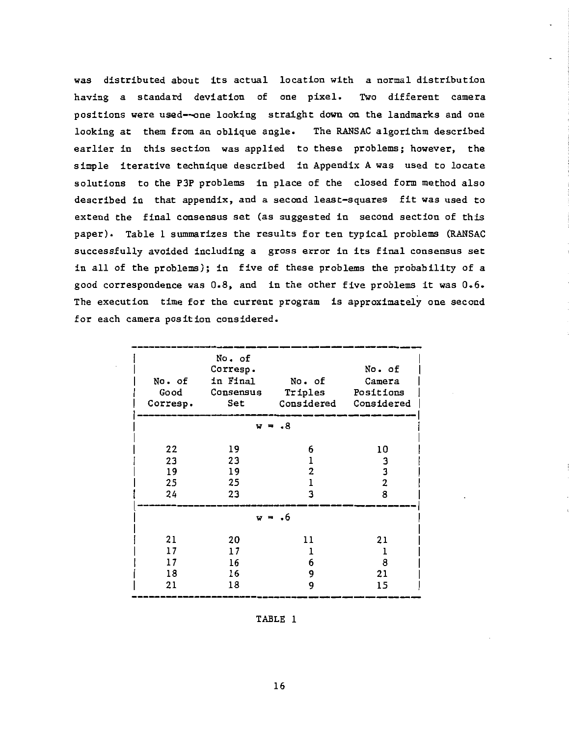was distributed about its actual location with a normal distribution having a standard deviation of one pixel. Two different camera positions were used--one looking straight down on the landmarks and one looking at them from an oblique angle. The RANSAC algorithm described earlier in this section was applied to these problems; however, the simple iterative technique described in Appendix A was used to locate solutions to the P3P problems in place of the closed form method also described in that appendix, and a second least-squares fit was used to extend the final consensus set (as suggested in second section of this paper). Table 1 summarizes the results for ten typical problems (RANSAC successfully avoided including a gross error in its final consensus set in all of the problems); in five of these problems the probability of a good correspondence was 0.8, and in the other five problems it was 0.6. The execution time for the current program is approximately one second for each camera position considered.

| No. of<br>Good<br>Corresp. | No. of<br>Corresp.<br>in Final<br>Consensus<br>Set | No. of<br>Triples<br>Considered | No. of<br>Camera<br>Positions<br>Considered |
|----------------------------|----------------------------------------------------|---------------------------------|---------------------------------------------|
|                            |                                                    | $w = .8$                        |                                             |
| 22<br>23<br>19<br>25<br>24 | 19<br>23<br>19<br>25<br>23                         | 6<br>ı<br>2<br>ı<br>3           | 10<br>З<br>3<br>2<br>8                      |
|                            |                                                    | $w = .6$                        |                                             |
| 21<br>17<br>17<br>18<br>21 | 20<br>17<br>16<br>16<br>18                         | 11<br>1<br>6<br>9<br>9          | 21<br>8<br>21<br>15                         |

TABLE 1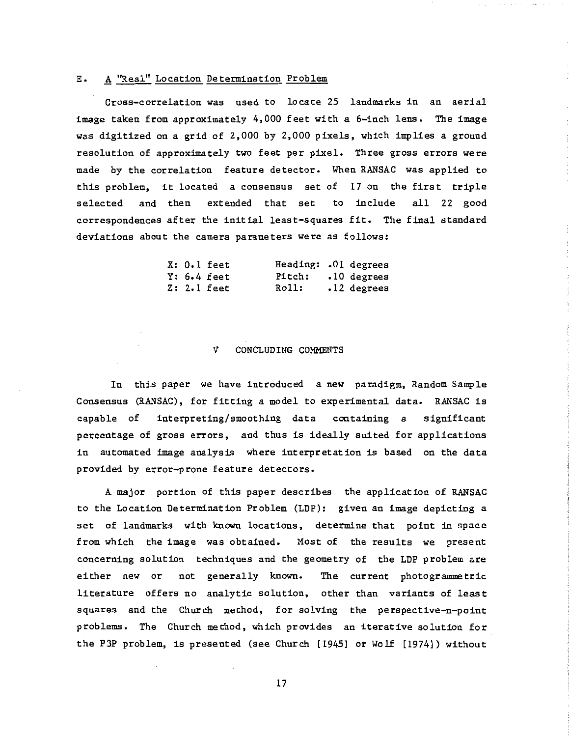### A "Real" Location Determination Problem  $E_{\bullet}$

Cross-correlation was used to locate 25 landmarks in an aerial image taken from approximately 4,000 feet with a 6-inch lens. The image was digitized on a grid of 2,000 by 2,000 pixels, which implies a ground resolution of approximately two feet per pixel. Three gross errors were made by the correlation feature detector. When RANSAC was applied to this problem. it located a consensus set of 17 on the first triple selected and then extended that set to include all 22 good correspondences after the initial least-squares fit. The final standard deviations about the camera parameters were as follows:

|  | X: 0.1 feet   | Heading: .01 degrees |             |
|--|---------------|----------------------|-------------|
|  | $Y: 6.4$ feet | Pitch:               | .10 degrees |
|  | $Z: 2.1$ feet | Roll:                | .12 degrees |

#### $\overline{U}$ CONCLUDING COMMENTS

In this paper we have introduced a new paradigm, Random Sample Consensus (RANSAC), for fitting a model to experimental data. RANSAC is interpreting/smoothing data capable of containing a significant percentage of gross errors, and thus is ideally suited for applications in automated image analysis where interpretation is based on the data provided by error-prone feature detectors.

A major portion of this paper describes the application of RANSAC to the Location Determination Problem (LDP): given an image depicting a set of landmarks with known locations, determine that point in space from which the image was obtained. Most of the results we present concerning solution techniques and the geometry of the LDP problem are either new or not generally known. The current photogrammetric literature offers no analytic solution, other than variants of least squares and the Church method, for solving the perspective-n-point problems. The Church method, which provides an iterative solution for the P3P problem, is presented (see Church [1945] or Wolf [1974]) without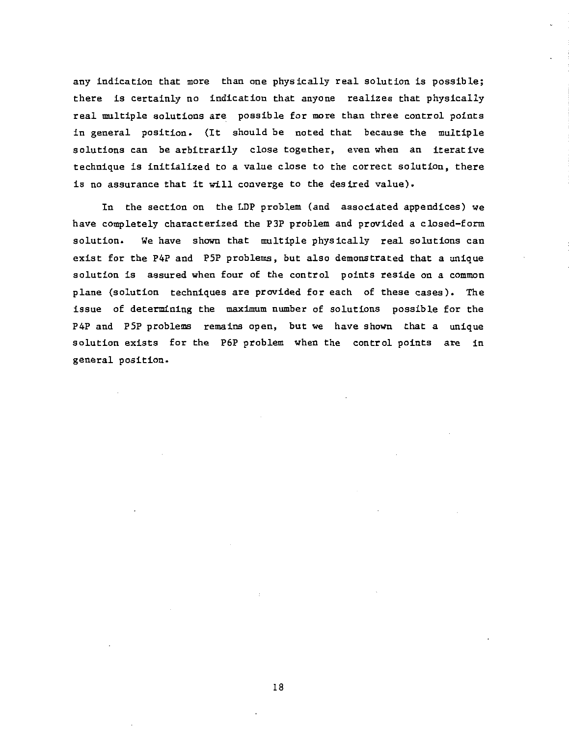any indication that more than one physically real solution is possible; there is certainly no indication that anyone realizes that physically real multiple solutions are possible for more than three control points in general position. (It should be noted that because the multiple solutions can be arbitrarily close together, even when an iterative technique is initialized to a value close to the correct solution, there is no assurance that it will converge to the desired value).

In the section on the LDP problem (and associated appendices) we have completely characterized the P3P problem and provided a closed-form We have shown that multiple physically real solutions can solution. exist for the P4P and P5P problems, but also demonstrated that a unique solution is assured when four of the control points reside on a common plane (solution techniques are provided for each of these cases). The issue of determining the maximum number of solutions possible for the P4P and P5P problems remains open, but we have shown that a unique solution exists for the P6P problem when the control points are in general position.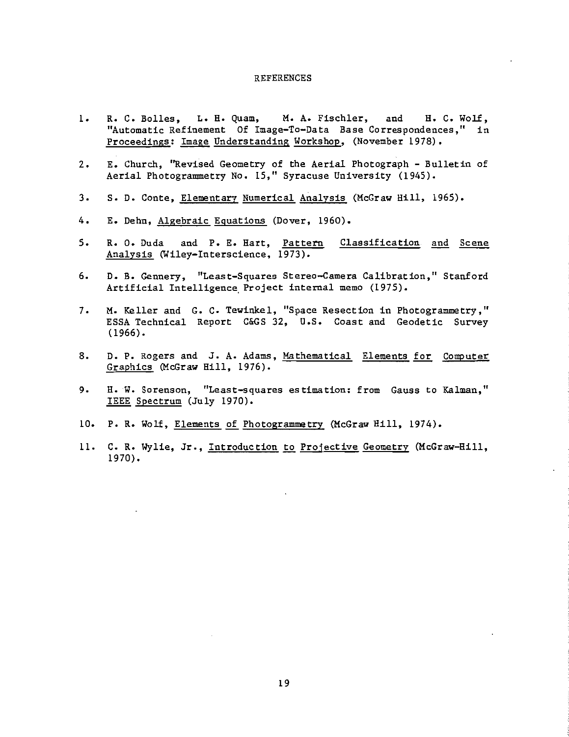## **REFERENCES**

- M. A. Fischler, and  $1.$ R. C. Bolles, L. H. Quam, H. C. Wolf. "Automatic Refinement Of Image-To-Data Base Correspondences." in Proceedings: Image Understanding Workshop, (November 1978).
- $2.$ E. Church. "Revised Geometry of the Aerial Photograph - Bulletin of Aerial Photogrammetry No. 15," Syracuse University (1945).
- $3.$ S. D. Conte, Elementary Numerical Analysis (McGraw Hill, 1965).
- E. Dehn, Algebraic Equations (Dover, 1960). 4.
- and P. E. Hart, Pattern Classification and Scene  $5.$ R. O. Duda Analysis (Wiley-Interscience, 1973).
- $6.$ D. B. Gennery, "Least-Squares Stereo-Camera Calibration," Stanford Artificial Intelligence Project internal memo (1975).
- $7.$ M. Keller and G. C. Tewinkel, "Space Resection in Photogrammetry," ESSA Technical Report C&GS 32, U.S. Coast and Geodetic Survey  $(1966)$ .
- 8. D. P. Rogers and J. A. Adams, Mathematical Elements for Computer Graphics (McGraw Hill, 1976).
- 9. H. W. Sorenson, "Least-squares estimation: from Gauss to Kalman." IEEE Spectrum (July 1970).
- 10. P. R. Wolf, Elements of Photogrammetry (McGraw Hill, 1974).
- 11. C. R. Wylie, Jr., Introduction to Projective Geometry (McGraw-Hill,  $1970$ .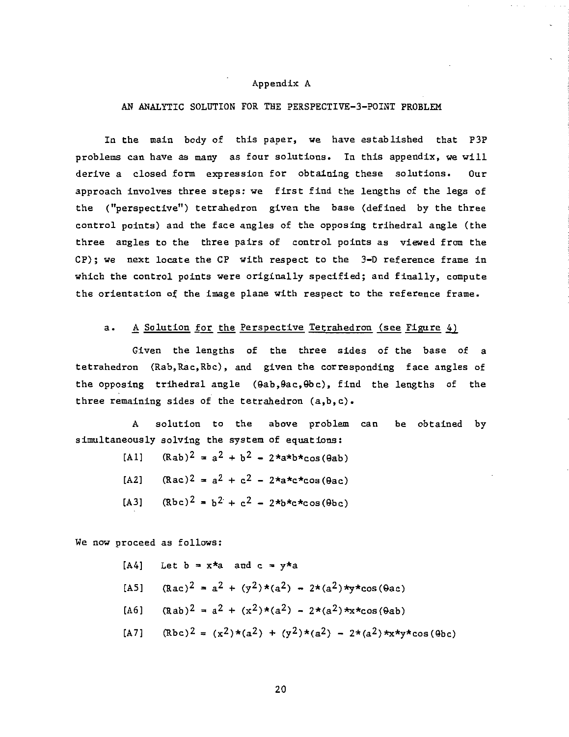# Appendix A

# AN ANALYTIC SOLUTION FOR THE PERSPECTIVE-3-POINT PROBLEM

In the main body of this paper, we have established that P3P problems can have as many as four solutions. In this appendix, we will derive a closed form expression for obtaining these solutions.  $0$ ur approach involves three steps: we first find the lengths of the legs of the ("perspective") tetrahedron given the base (defined by the three control points) and the face angles of the opposing trihedral angle (the three angles to the three pairs of control points as viewed from the CP); we next locate the CP with respect to the 3-D reference frame in which the control points were originally specified; and finally, compute the orientation of the image plane with respect to the reference frame.

### A Solution for the Perspective Tetrahedron (see Figure 4)  $\mathbf{a}$ .

Given the lengths of the three sides of the base of a tetrahedron (Rab, Rac, Rbc), and given the corresponding face angles of the opposing trihedral angle ( $\theta$ ab, $\theta$ ac, $\theta$ bc), find the lengths of the three remaining sides of the tetrahedron (a,b,c).

A solution to the above problem can be obtained by simultaneously solving the system of equations:

| [A1] $(Rab)^2 = a^2 + b^2 - 2*a*b*cos(\theta ab)$ |
|---------------------------------------------------|
| [A2] $(Rac)^2 = a^2 + c^2 - 2*a*c*cos(\theta ac)$ |
| [A3] $(Rbc)^2 = b^2 + c^2 - 2*b*c*cos(\theta bc)$ |

 $\sim$ 

We now proceed as follows:

 $\overline{a}$ 

|      | [A4] Let $b = x*a$ and $c = y* a$                                                     |
|------|---------------------------------------------------------------------------------------|
|      | [A5] $(Rac)^2 = a^2 + (y^2) \star (a^2) - 2 \star (a^2) \star y \star cos(\theta ac)$ |
|      | $(A6)$ $(Rab)^2 = a^2 + (x^2)*(a^2) - 2*(a^2)*x*cos(\theta ab)$                       |
| [A7] | $(Rbc)^2 = (x^2)*(a^2) + (y^2)*(a^2) - 2*(a^2)*x*y*cos(\theta bc)$                    |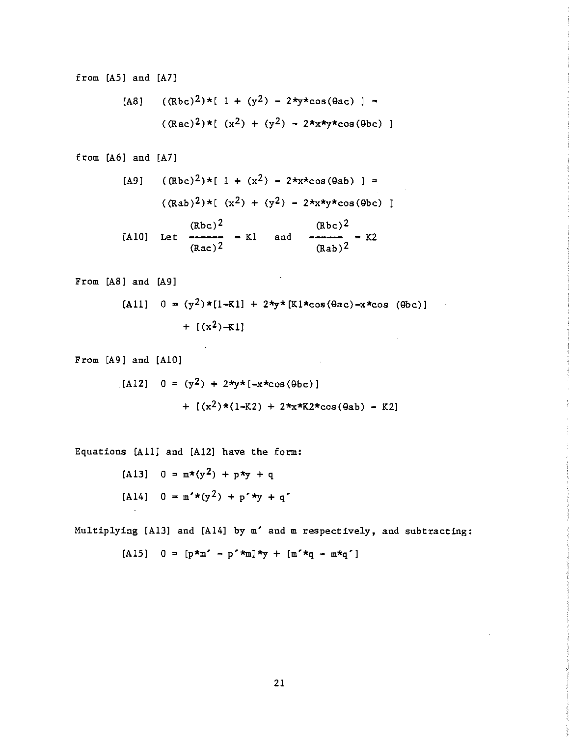[A8] 
$$
((Rbc)^2)*[1 + (y^2) - 2*y*cos(\theta ac)] =
$$
  
 $((Rac)^2)*[(x^2) + (y^2) - 2*x*ykcos(\theta bc))$ 

 $\mathbf{I}$ 

 $\sim 10^6$ 

from  $[A6]$  and  $[A7]$ 

from  $[A5]$  and  $[A7]$ 

$$
[A9] \quad ((Rbc)^{2})*(1 + (x^{2}) - 2*xxcos(9ab)] =
$$

$$
((Rab)^{2})*(x^{2}) + (y^{2}) - 2*x*yxcos(9bc)]
$$

$$
(Rbc)^{2} \quad (Rbc)^{2}
$$

$$
[A10] Let \frac{1}{(Rac)^{2}} = K1 \quad and \quad \frac{1}{(Rab)^{2}} = K2
$$

From [A8] and [A9]  
\n[A11] 
$$
0 = (y^2) * [1 - K1] + 2\pi y * [K1 * \cos(\theta ac) - x * \cos(\theta bc)] + [(x^2) - K1]
$$

From  $[A9]$  and  $[A10]$ 

$$
[A12] \quad 0 = (y^2) + 2*y*[-x*cos(\theta bc)]
$$
  
+ 
$$
[(x^2)*(1-K2) + 2*x*K2*cos(\theta ab) - K2]
$$

 $\sim$  10  $\mu$ 

Equations [All] and [Al2] have the form:

$$
[A13] \quad 0 = m*(y^2) + p*y + q
$$
  

$$
[A14] \quad 0 = m'*(y^2) + p'*y + q'
$$

Multiplying [Al3] and [Al4] by  $m'$  and  $m$  respectively, and subtracting:

$$
[A15] \quad 0 = [p*m' - p' * m] * y + [m' * q - m * q']
$$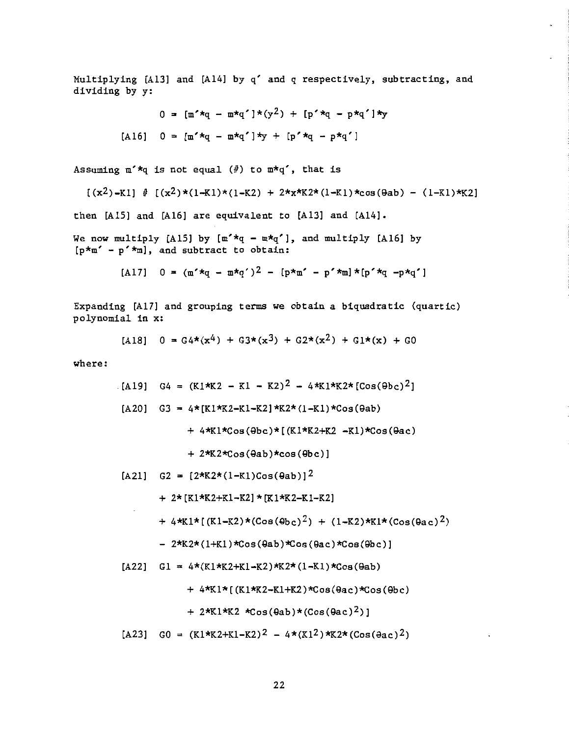Multiplying [Al3] and [Al4] by q' and q respectively, subtracting, and dividing by y:

$$
0 = [m' * q - m * q'] * (y^2) + [p' * q - p * q'] * y
$$
  
[A16] 
$$
0 = [m' * q - m * q'] * y + [p' * q - p * q']
$$

Assuming  $m' * q$  is not equal (#) to  $m * q'$ , that is

$$
[(x2) - K1] \# [(x2) * (1 - K1) * (1 - K2) + 2 * x * K2 * (1 - K1) * cos(0ab) - (1 - K1) * K2]
$$

then [A15] and [A16] are equivalent to [A13] and [A14].

We now multiply [A15] by  $[\texttt{m'*q - m*q'}],$  and multiply [A16] by  $[p*<sup>n</sup> - p'*<sup>n</sup>]$ , and subtract to obtain:

$$
[A17] \quad 0 = (m' * q - m * q')^2 - [p * m' - p' * m] * [p' * q - p * q']
$$

Expanding [A17] and grouping terms we obtain a biquadratic (quartic) polynomial in x:

[A18] 
$$
0 = G4*(x^4) + G3*(x^3) + G2*(x^2) + G1*(x) + G0
$$

where:

$$
[A19] G4 = (K1*K2 - K1 - K2)^2 - 4*K1*K2*(Cos(\theta bc)^2)
$$
\n
$$
[A20] G3 = 4*(K1*K2-K1-K2)*K2*(1-K1)*Cos(\theta ab)
$$
\n
$$
+ 4*K1*Cos(\theta bc) * [(K1*K2+K2 - K1)*Cos(\theta ac)
$$
\n
$$
+ 2*K2*Cos(\theta ab)*cos(\theta bc)]
$$
\n
$$
[A21] G2 = [2*K2*(1-K1)Cos(\theta ab)]^2
$$
\n
$$
+ 2*(K1*K2+K1-K2)*(K1*K2-K1-K2)
$$
\n
$$
+ 4*K1*[(K1-K2)*(Cos(\theta bc)^2) + (1-K2)*K1*(Cos(\theta ac)^2)
$$
\n
$$
- 2*K2*(1+K1)*Cos(\theta ab)*Cos(\theta ac)*Cos(\theta bc)]
$$
\n
$$
[A22] G1 = 4*(K1*K2+K1-K2)*K2*(1-K1)*Cos(\theta ab)
$$
\n
$$
+ 4*K1*(K1*K2-K1+K2)*Cos(\theta ac)*Cos(\theta bc)
$$
\n
$$
+ 2*K1*K2 * Cos(\theta ab)*(Cos(\theta ac)^2)]
$$
\n
$$
[A23] G0 = (K1*K2+K1-K2)^2 - 4*(K1^2)*K2*(Cos(\theta ac)^2)
$$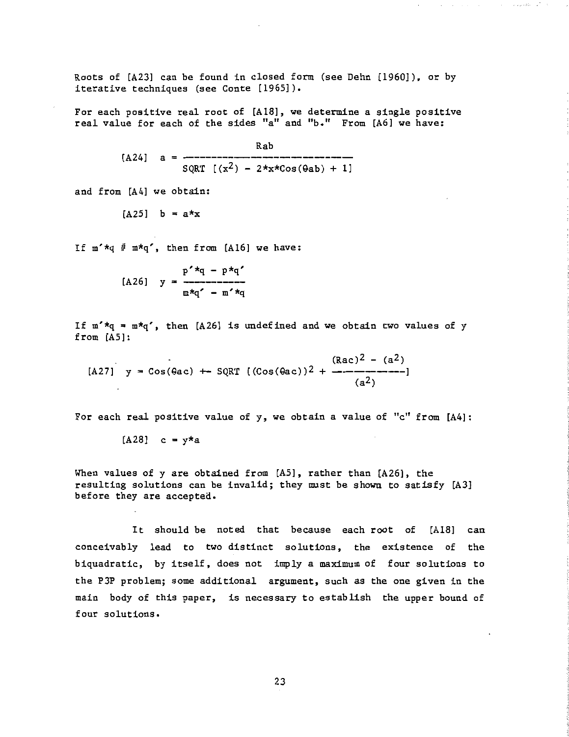Roots of [A23] can be found in closed form (see Dehn [1960]), or by iterative techniques (see Conte [1965]).

For each positive real root of [A18], we determine a single positive real value for each of the sides "a" and "b." From [A6] we have:

Rab  
[A24] a = 
$$
---
$$
  
SQRT  $[(x^2) - 2*x*Cos(\theta ab) + 1]$ 

and from [A4] we obtain:

$$
[A25] \quad b = a \star x
$$

If  $m' * q \# m * q'$ , then from [A16] we have:

$$
p^*q - p^*q'
$$
  
[A26]  $y = \frac{p^*q - p^*q^*}{m^*q^* - m^*q}$ 

If  $m' * q = m * q'$ , then [A26] is undefined and we obtain two values of y  $from [A5]:$ 

$$
[A27] \quad y = \text{Cos}(\theta ac) \quad \text{+} \quad \text{SQRT} \quad \text{(Cos}(\theta ac))^2 \quad \text{+} \quad \text{---} \quad \text{---} \quad \text{---} \quad \text{---} \quad \text{(a2)}
$$
\n
$$
(a^2)
$$

For each real positive value of y, we obtain a value of "c" from [A4]:

$$
[A28] \quad c = y \star a
$$

When values of y are obtained from [A5], rather than [A26], the resulting solutions can be invalid; they must be shown to satisfy [A3] before they are accepted.

It should be noted that because each root of [A18] can conceivably lead to two distinct solutions, the existence of the biquadratic, by itself, does not imply a maximum of four solutions to the P3P problem; some additional argument, such as the one given in the main body of this paper, is necessary to establish the upper bound of four solutions.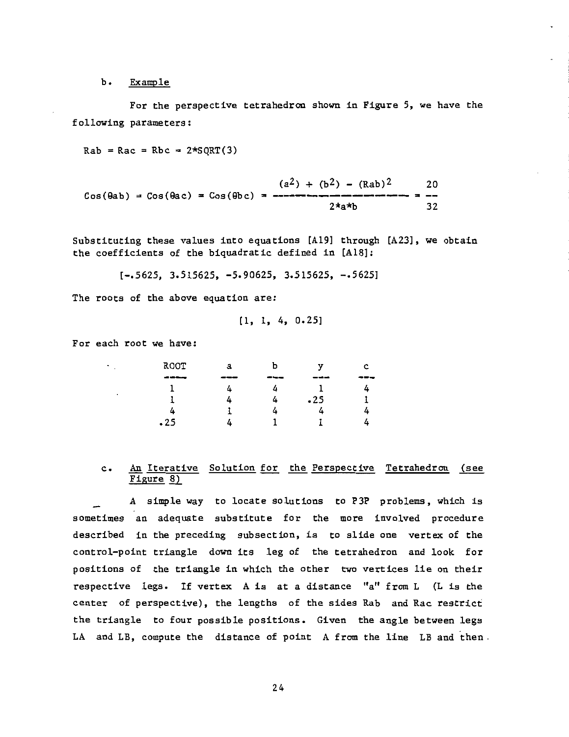$b.$  $Example$ 

For the perspective tetrahedron shown in Figure 5, we have the following parameters:

 $Rab = Rac = Rbc = 2*SORT(3)$ 

$$
(a2) + (b2) - (Rab)2 \t 20
$$
  
Cos(θab) = Cos(θac) = Cos(θbc) = 2<sup>2</sup>tan<sup>2</sup> + 32

Substituting these values into equations [A19] through [A23], we obtain the coefficients of the biquadratic defined in [Al8]:

 $[-.5625, 3.515625, -5.90625, 3.515625, -.5625]$ 

The roots of the above equation are:

$$
[1, 1, 4, 0.25]
$$

For each root we have:

 $\ddotsc$ 

| ROOT | а   |     | v   | r |
|------|-----|-----|-----|---|
| ---- | --- | --- | --- |   |
|      |     |     |     |   |
|      |     | 4   | -25 |   |
|      |     |     |     |   |
| 25   |     |     |     |   |

### An Iterative Solution for the Perspective Tetrahedron (see  $c_{\bullet}$  $Figure 8)$

A simple way to locate solutions to P3P problems, which is sometimes an adequate substitute for the more involved procedure described in the preceding subsection, is to slide one vertex of the control-point triangle down its leg of the tetrahedron and look for positions of the triangle in which the other two vertices lie on their respective legs. If vertex A is at a distance "a" from L (L is the center of perspective), the lengths of the sides Rab and Rac restrict the triangle to four possible positions. Given the angle between legs LA and LB, compute the distance of point A from the line LB and then.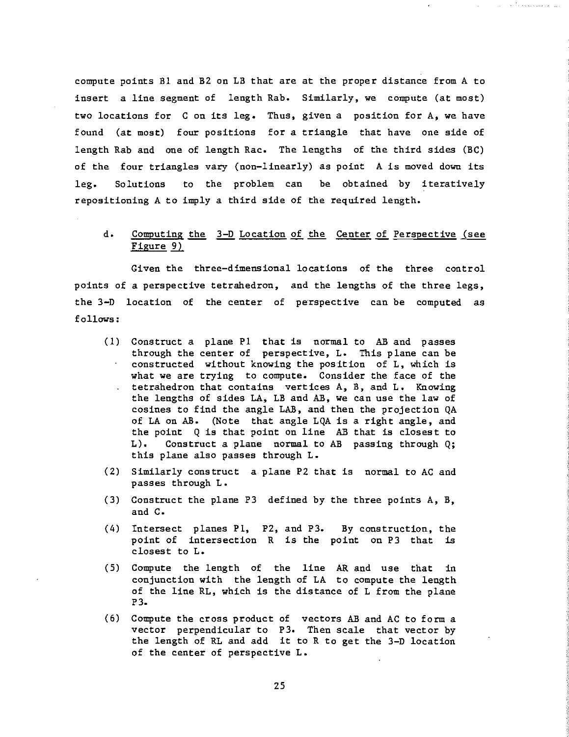compute points B1 and B2 on LB that are at the proper distance from A to insert a line segment of length Rab. Similarly, we compute (at most) two locations for C on its leg. Thus, given a position for A, we have found (at most) four positions for a triangle that have one side of length Rab and one of length Rac. The lengths of the third sides (BC) of the four triangles vary (non-linearly) as point A is moved down its to the problem can be obtained by iteratively Solutions leg. repositioning A to imply a third side of the required length.

الي العن سميريتين والداردة الممالكة

### $\mathbf d$ . Computing the 3-D Location of the Center of Perspective (see Figure 9)

Given the three-dimensional locations of the three control points of a perspective tetrahedron, and the lengths of the three legs. the 3-D location of the center of perspective can be computed as follows:

- (1) Construct a plane P1 that is normal to AB and passes through the center of perspective, L. This plane can be constructed without knowing the position of L, which is what we are trying to compute. Consider the face of the tetrahedron that contains vertices A, B, and L. Knowing the lengths of sides LA, LB and AB, we can use the law of cosines to find the angle LAB, and then the projection QA of LA on AB. (Note that angle LQA is a right angle, and the point Q is that point on line AB that is closest to Construct a plane normal to AB passing through Q; L). this plane also passes through L.
- (2) Similarly construct a plane P2 that is normal to AC and passes through L.
- (3) Construct the plane P3 defined by the three points A, B, and  $C_{\bullet}$
- (4) Intersect planes Pl, P2, and P3. By construction, the point of intersection R is the point on P3 that is closest to L.
- (5) Compute the length of the line AR and use that in conjunction with the length of LA to compute the length of the line RL, which is the distance of L from the plane  $P3-$
- (6) Compute the cross product of vectors AB and AC to form a vector perpendicular to P3. Then scale that vector by the length of RL and add it to R to get the 3-D location of the center of perspective L.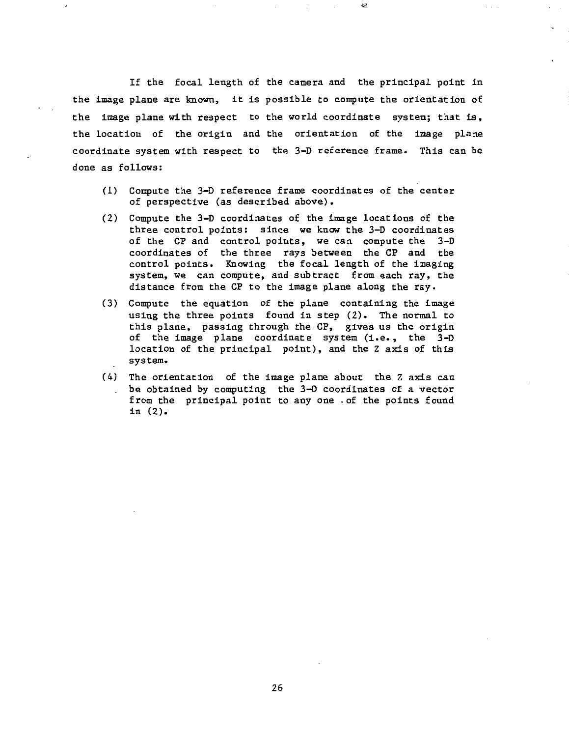If the focal length of the camera and the principal point in the image plane are known, it is possible to compute the orientation of the image plane with respect to the world coordinate system; that is, the location of the origin and the orientation of the image plane coordinate system with respect to the 3-D reference frame. This can be done as follows:

 $\mathcal{L}$ 

- (1) Compute the 3-D reference frame coordinates of the center of perspective (as described above).
- (2) Compute the 3-D coordinates of the image locations of the three control points: since we know the 3-D coordinates of the CP and control points, we can compute the 3-D coordinates of the three rays between the CP and the control points. Knowing the focal length of the imaging system. we can compute, and subtract from each ray, the distance from the CP to the image plane along the ray.
- (3) Compute the equation of the plane containing the image using the three points found in step (2). The normal to this plane. passing through the CP, gives us the origin of the image plane coordinate system (i.e., the 3-D location of the principal point), and the Z axis of this system.
- (4) The orientation of the image plane about the Z axis can be obtained by computing the 3-D coordinates of a vector from the principal point to any one of the points found in  $(2)$ .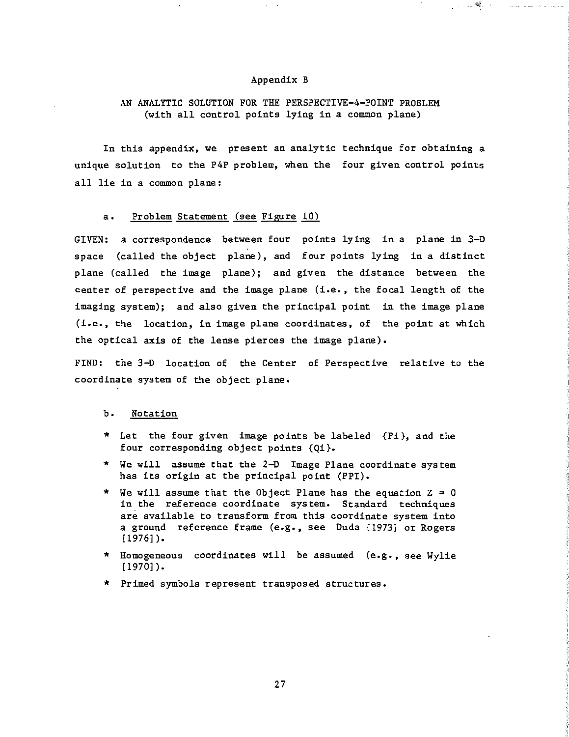### Appendix B

 $\epsilon$ 

 $\mathcal{L}$ 

 $\label{eq:constr} \phi_{\alpha\beta}(\phi_{\alpha\beta}(\phi_{\alpha\beta})\equiv \phi_{\alpha\beta}(\phi_{\alpha\beta}(\phi_{\beta}))$ 

# AN ANALYTIC SOLUTION FOR THE PERSPECTIVE-4-POINT PROBLEM (with all control points lying in a common plane)

In this appendix, we present an analytic technique for obtaining a unique solution to the P4P problem, when the four given control points all lie in a common plane:

#### Problem Statement (see Figure 10)  $a_{\bullet}$

GIVEN: a correspondence between four points lying in a plane in 3-D space (called the object plane), and four points lying in a distinct plane (called the image plane); and given the distance between the center of perspective and the image plane (i.e., the focal length of the imaging system); and also given the principal point in the image plane (i.e., the location, in image plane coordinates, of the point at which the optical axis of the lense pierces the image plane).

FIND: the 3-D location of the Center of Perspective relative to the coordinate system of the object plane.

### ъ. Notation

- \* Let the four given image points be labeled {Pi}, and the four corresponding object points {Qi}.
- \* We will assume that the 2-D Image Plane coordinate system has its origin at the principal point (PPI).
- \* We will assume that the Object Plane has the equation  $Z = 0$ in the reference coordinate system. Standard techniques are available to transform from this coordinate system into a ground reference frame (e.g., see Duda [1973] or Rogers  $[1976]$ .
- $\star$ Homogeneous coordinates will be assumed (e.g., see Wylie  $[1970]$ .
- \* Primed symbols represent transposed structures.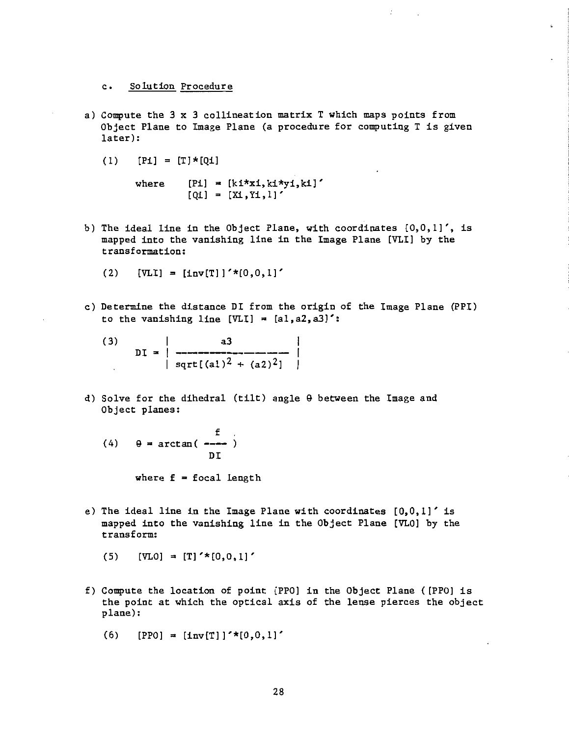- Solution Procedure  $c \cdot$
- a) Compute the 3 x 3 collineation matrix T which maps points from Object Plane to Image Plane (a procedure for computing T is given  $later):$ 
	- $(1)$  $[PI] = [T] * [Q1]$

 $[PI] = [k i * x i, k i * y i, k i]'$ where  $[01] = [X1, Y1, 1]'$ 

- b) The ideal line in the Object Plane, with coordinates  $[0,0,1]$ ', is mapped into the vanishing line in the Image Plane [VLI] by the transformation:
	- $[VLI] = [inv[T]]' * [0, 0, 1]'$  $(2)$
- c) Determine the distance DI from the origin of the Image Plane (PPI) to the vanishing line [VLI] =  $[a1, a2, a3]'$ :
	- DI =  $\begin{vmatrix} a3 & b1 \end{vmatrix}$ <br>  $\begin{vmatrix} a1 & b2 \end{vmatrix}$  =  $\begin{vmatrix} a2 & b1 \end{vmatrix}$  $(3)$
- d) Solve for the dihedral (tilt) angle  $\theta$  between the Image and Object planes:
	- (4)  $\theta = \arctan(-\frac{f}{DT})$

where  $f = focal length$ 

- e) The ideal line in the Image Plane with coordinates  $[0,0,1]$ ' is mapped into the vanishing line in the Object Plane [VLO] by the transform:
	- $[VLO] = [T]'*(0,0,1]'$  $(5)$
- f) Compute the location of point [PPO] in the Object Plane ([PPO] is the point at which the optical axis of the lense pierces the object  $plane):$ 
	- $(6)$  $[PP0] = [inv[T]]^* [0, 0, 1]$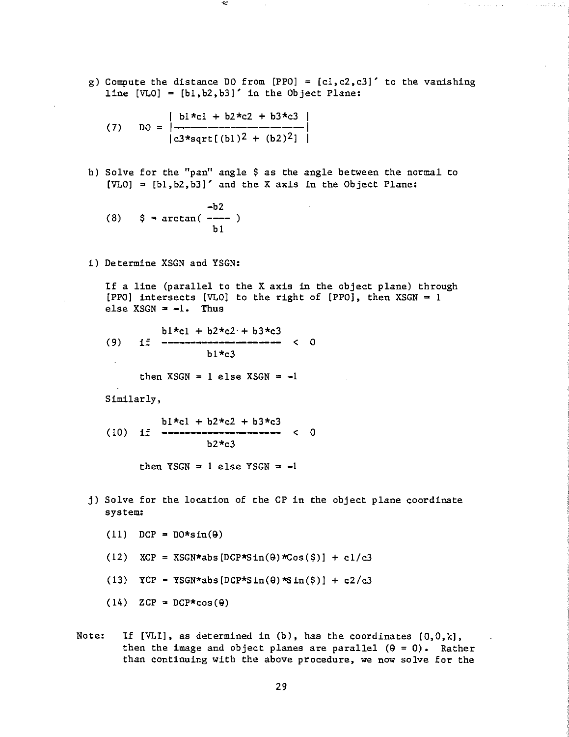g) Compute the distance DO from  $[PP0] = [c1, c2, c3]$  to the vanishing line  $[*VLO*] = [b1, b2, b3]'$  in the Object Plane:

 $\mathcal{C}$  is a summarization.

÷

h) Solve for the "pan" angle \$ as the angle between the normal to  $[VL0] = [b1, b2, b3]'$  and the X axis in the Object Plane:

$$
(8) \quad \ \ \$ = \arctan(---) \\
 \quad \ \ b1
$$

i) Determine XSGN and YSGN:

If a line (parallel to the X axis in the object plane) through [PPO] intersects [VLO] to the right of [PPO], then XSGN =  $1$ else  $XSGN = -1$ . Thus

$$
b1 \star c1 + b2 \star c2 + b3 \star c3
$$
  
(9) if  

$$
-
$$

$$
b1 \star c3
$$

$$
then XSGN = 1 else XSGN = -1
$$

Similarly,

$$
b1 \star c1 + b2 \star c2 + b3 \star c3
$$
  
(10) if  

$$
-
$$

$$
b2 \star c3
$$

then YSGN =  $1$  else YSGN =  $-1$ 

- j) Solve for the location of the CP in the object plane coordinate system:
	- $(11)$  DCP = DO\*sin( $\theta$ )
	- $(12)$  XCP = XSGN\*abs [DCP\*S in ( $\theta$ ) \*Cos( $\hat{\theta}$ )] + c1/c3
	- (13) YCP = YSGN\*abs [DCP\*Sin(0) \*Sin(\$)] + c2/c3

 $(14)$  ZCP = DCP\*cos( $\theta$ )

Note: If [VLI], as determined in (b), has the coordinates  $[0,0,k]$ , then the image and object planes are parallel  $(0 = 0)$ . Rather than continuing with the above procedure, we now solve for the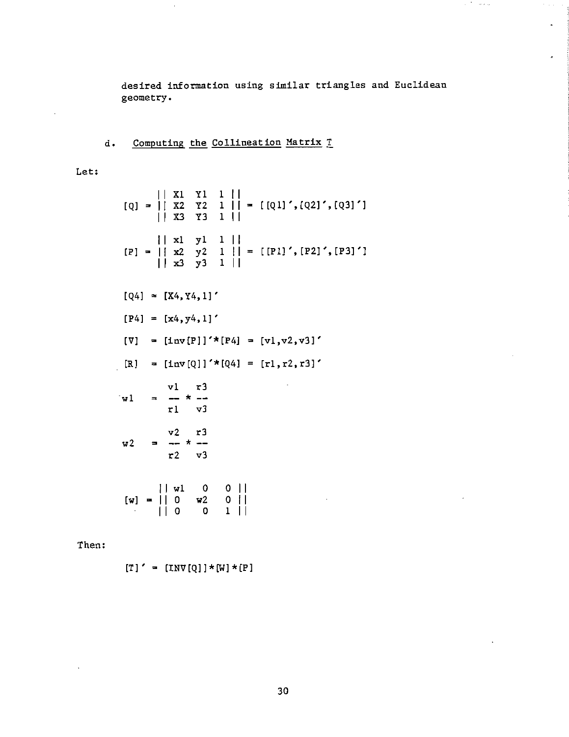desired information using similar triangles and Euclidean geometry.

### Computing the Collineation Matrix T  $\mathbf d$ .

Let:

| $[Q] =  X1 Y1 1 $<br>$[Q] =  X2 Y2 1  = [(Q1)',(Q2)',(Q3)']$<br>$ X3 Y3 1 $                                             |
|-------------------------------------------------------------------------------------------------------------------------|
| $[P] =   x2 y2 1  $<br>$  x3 y3 1  $<br>$  x3 y3 1  $                                                                   |
| $[Q4] = [X4, Y4, 1]'$                                                                                                   |
| $[P4] = [x4, y4, 1]'$                                                                                                   |
| $[V] = [inv[P]]' * [P4] = [v1, v2, v3]'$                                                                                |
| [R] = $[inv[Q]]' * [Q4] = [r1, r2, r3]'$                                                                                |
| $v1$ $r3$<br>$wl = - + - -$<br>$r1$ $v3$                                                                                |
| $w2 = \frac{v2}{1} + \frac{r3}{1}$<br>$r2 \quad v3$                                                                     |
| $=\begin{array}{c ccc}   & \text{w1} & 0 & 0 &   \\ \text{w2} & 0 &   & \\ \text{w3} & 0 & 1 &   \\ \end{array}$<br>[w] |

Then:

 $[T]' = [INV[Q]] * [W] * [P]$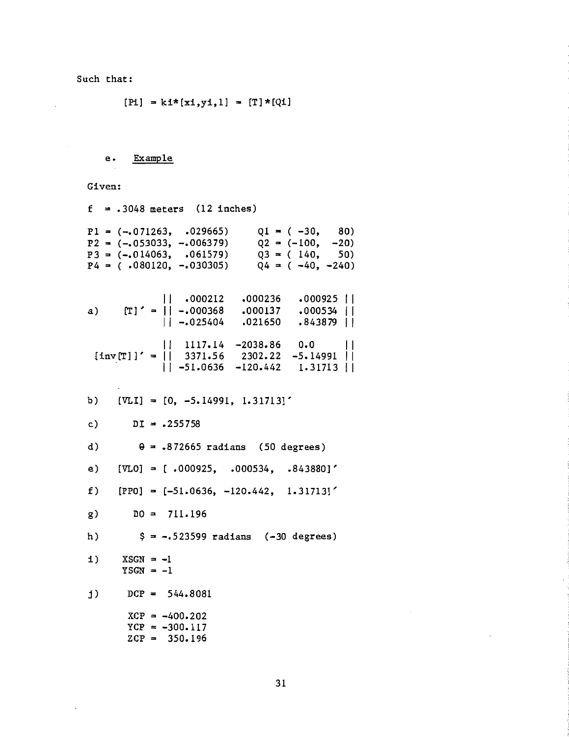Such that:

 $[PI] = k1* [xi, yi, 1] = [T]*[Q1]$ 

### Example  $e$ .

- Given:
- $f = .3048$  meters (12 inches)  $P1 = (-071263, .029665)$  $Q1 = (-30,$ 80)  $P2 = (-0.053033, -0.06379)$  $Q2 = (-100, -20)$  $P3 = (-014063, 061579)$ <br> $P4 = (.080120, -.030305)$  $Q3 = (140,$ 50)  $Q4 = (-40, -240)$ || 000212 000236 000925 ||<br>|| 00034 000137 000534 || = 11]  $a)$  $\begin{bmatrix} 1 & -0.25404 \end{bmatrix}$  $.021650$   $.843879$  | |  $||$  1117.14 -2038.86  $0.0$  $\vert \vert$  $\begin{bmatrix} \text{inv}[T] \end{bmatrix}' = \begin{bmatrix} 3371.56 & 2302.22 & -5.14991 \ -51.0636 & -120.442 & 1.31713 \end{bmatrix}$  $b)$  $[VLI] = [0, -5.14991, 1.31713]'$  $c)$  $DI = .255758$  $\mathbf{d}$ )  $\theta = .872665$  radians (50 degrees)  $[VLO] = [.000925, .000534, .843880]'$ e)  $[PP0] = [-51.0636, -120.442, 1.31713]$  $f$ ) g)  $DO = 711.196$  $$ = -523599$  radians (-30 degrees)  $h)$  $\mathbf{1}$  $XSGN = -1$  $YSGN = -1$ f)  $DCP = 544.8081$  $XCP = -400.202$  $YCP = -300.117$  $ZCP = 350.196$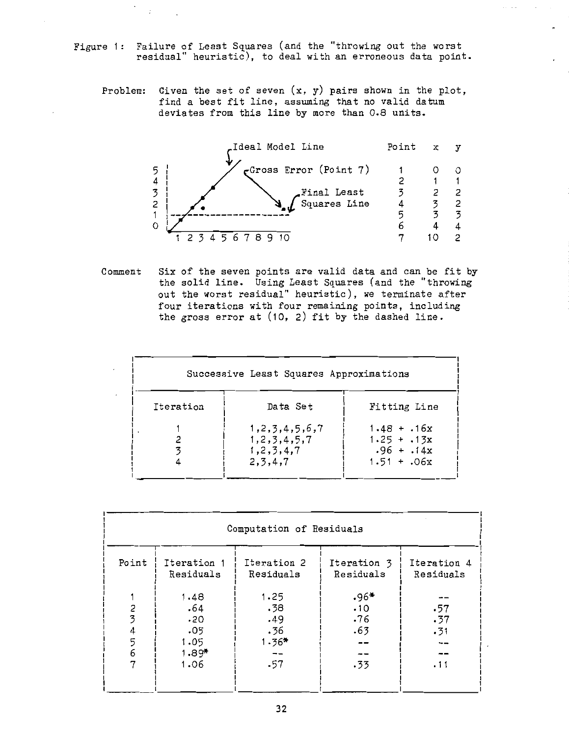Figure 1: Failure of Least Squares (and the "throwing out the worst residual" heuristic), to deal with an erroneous data point.

 $\ddot{\cdot}$ 

Problem: Given the set of seven  $(x, y)$  pairs shown in the plot, find a best fit line, assuming that no valid datum deviates from this line by more than 0.8 units.



Six of the seven points are valid data and can be fit by Comment the solid line. Using Least Squares (and the "throwing" out the worst residual" heuristic), we terminate after four iterations with four remaining points, including the gross error at (10, 2) fit by the dashed line.

| Data Set            | Fitting Line  |
|---------------------|---------------|
|                     |               |
| 1, 2, 3, 4, 5, 6, 7 | $1.48 + .16x$ |
| 1, 2, 3, 4, 5, 7    | $1.25 + .13x$ |
| 1, 2, 3, 4, 7       | $.96 + .14x$  |
| 2, 3, 4, 7          | $1.51 + .06x$ |
|                     |               |

| Computation of Residuals |                                                      |                                             |                                          |                          |  |
|--------------------------|------------------------------------------------------|---------------------------------------------|------------------------------------------|--------------------------|--|
| Point                    | Iteration 1<br>Residuals                             | Iteration 2<br>Residuals                    | Iteration 3<br>Residuals                 | Iteration 4<br>Residuals |  |
| $\overline{c}$<br>6      | 1.48<br>.64<br>.20<br>.05<br>1.05<br>$1.89*$<br>1.06 | 1.25<br>.38<br>.49<br>36.<br>$1.36*$<br>.57 | $.96*$<br>.10<br>76ء<br>.63<br>--<br>.33 | .57<br>.37<br>.31<br>.11 |  |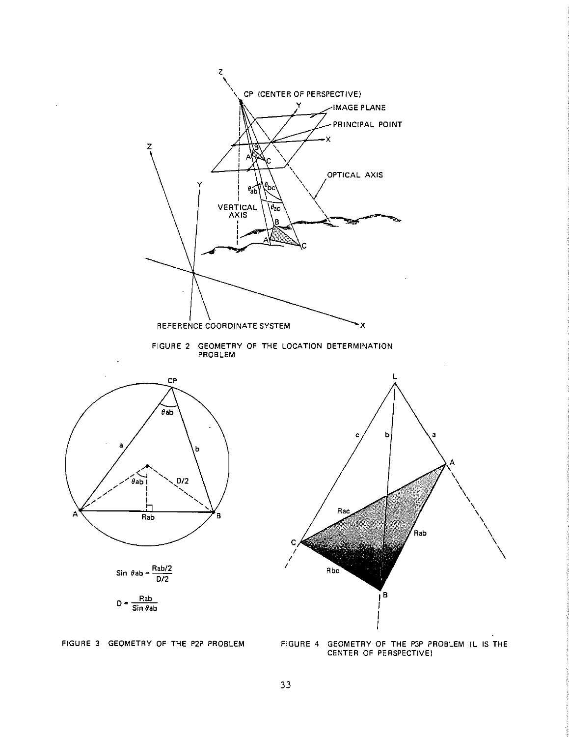

FIGURE 3 GEOMETRY OF THE P2P PROBLEM

FIGURE 4 GEOMETRY OF THE P3P PROBLEM (L IS THE CENTER OF PERSPECTIVE)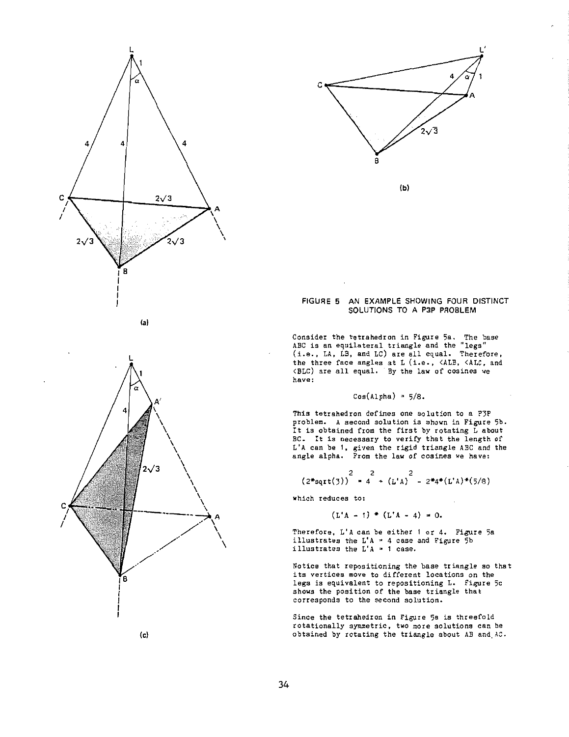



## FIGURE 5 AN EXAMPLE SHOWING FOUR DISTINCT SOLUTIONS TO A P3P PROBLEM

Consider the tetrahedron in Figure 5a. The base<br>ABC is an equilateral triangle and the "legs" (i.e., LA, LB, and LC) are all equal. Therefore, the three face angles at L (i.e., <ALB, <ALC, and <BLC) are all equal. By the law of cosines we have:

### $Cos(A1pha) = 5/8.$

This tetrahedron defines one solution to a P3P problem. A second solution is shown in Figure 5b. It is obtained from the first by rotating L about BC. It is necessary to verify that the length of L'A can be 1, given the rigid triangle ABC and the angle alpha. From the law of cosines we have:

$$
(2*\sqrt{3})^2 = 4 + (L'A)^2 - 2*4*(L'A)*5/8
$$

which reduces to:

$$
(L'A - 1) * (L'A - 4) = 0.
$$

Therefore, L'A can be either 1 or 4. Figure 5a illustrates the  $L^A = 4$  case and Figure 5b<br>illustrates the  $L^A = 4$  case and Figure 5b

Notice that repositioning the base triangle so that its vertices move to different locations on the legs is equivalent to repositioning L. Figure 5c shows the position of the base triangle that corresponds to the second solution.

Since the tetrahedron in Figure 5a is threefold rotationally symmetric, two more solutions can be obtained by rotating the triangle about AB and AC.





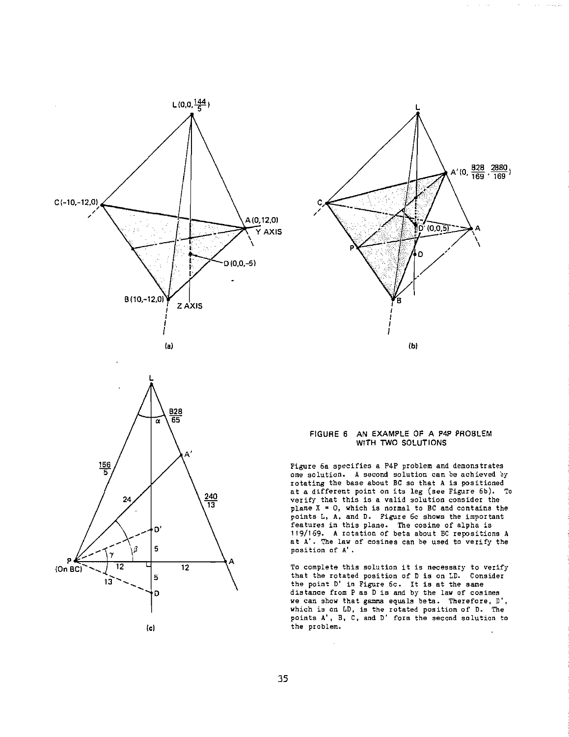



 $\sim$   $\sim$ 

 $\mathcal{L}$ 

 $\epsilon(s) = \epsilon(s) \cos(\frac{1}{m})$ 





Figure 6a specifies a P4P problem and demonstrates one solution. A second solution can be achieved by rotating the base about BC so that A is positioned at a different point on its leg (see Figure 6b). To<br>verify that this is a valid solution consider the plane  $X = 0$ , which is normal to BC and contains the<br>points L, A, and D. Figure 6c shows the important<br>features in this plane. The cosine of alpha is<br>119/169. A rotation of beta about BC repositions A at A'. The law of cosines can be used to verify the position of A'.

To complete this solution it is necessary to verify that the rotated position of D is on LD. Consider the point D' in Figure 6c. It is at the same distance from P as D is and by the law of cosines we can show that gamma equals beta. Therefore, D', which is on LD, is the rotated position of D. The<br>points A', B, C, and D' form the second solution to the problem.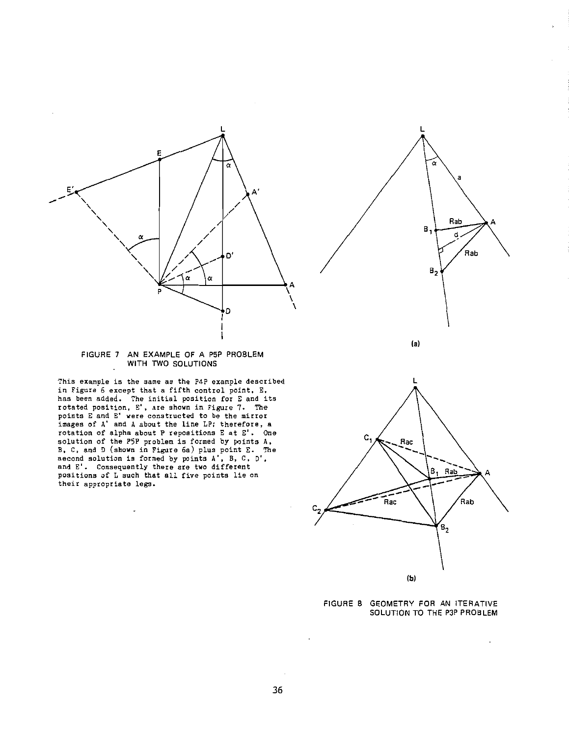



This example is the same as the P4P example described in Figure 6 except that a fifth control point, E. has been added. The initial position for E and its<br>rotated position, E', are shown in Figure 7. The<br>points E and E' were constructed to be the mirror images of A' and A about the line LP; therefore, a rotation of alpha about P repositions E at  $E'$ . One solution of the P5P problem is formed by points  $A$ . B, C, and D (shown in Figure 6a) plus point E. The second solution is formed by points  $A'$ , B, C, D', and E'. Consequently there are two different positions of L such that all five points lie on their appropriate legs.

 $\ddot{\phantom{a}}$ 



L



### FIGURE B GEOMETRY FOR AN ITERATIVE SOLUTION TO THE P3P PROBLEM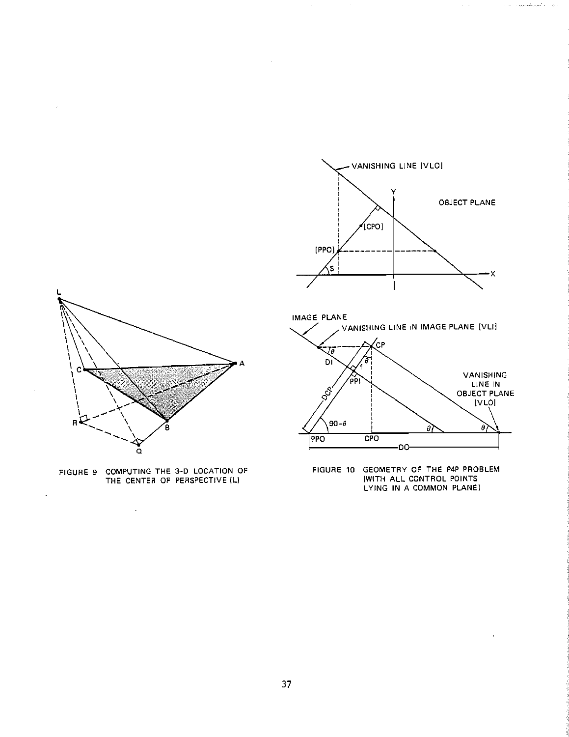





FIGURE 9 COMPUTING THE 3-D LOCATION OF THE CENTER OF PERSPECTIVE (L)

J.